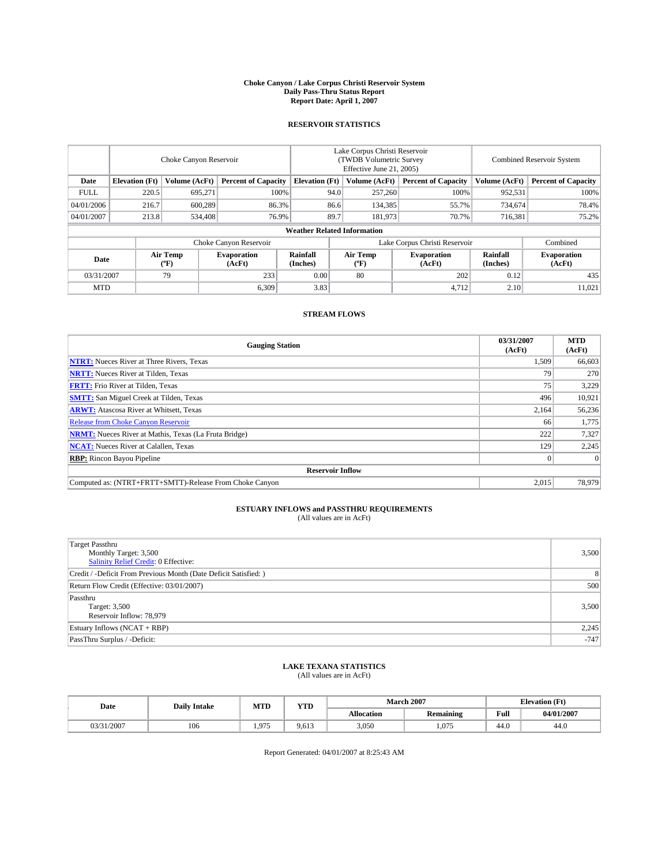#### **Choke Canyon / Lake Corpus Christi Reservoir System Daily Pass-Thru Status Report Report Date: April 1, 2007**

### **RESERVOIR STATISTICS**

|             | Choke Canyon Reservoir             |                         |                              |                       | Lake Corpus Christi Reservoir<br>(TWDB Volumetric Survey<br>Effective June 21, 2005) |                  |                               |                      | Combined Reservoir System    |  |  |
|-------------|------------------------------------|-------------------------|------------------------------|-----------------------|--------------------------------------------------------------------------------------|------------------|-------------------------------|----------------------|------------------------------|--|--|
| Date        | <b>Elevation</b> (Ft)              | Volume (AcFt)           | <b>Percent of Capacity</b>   | <b>Elevation</b> (Ft) |                                                                                      | Volume (AcFt)    | <b>Percent of Capacity</b>    | Volume (AcFt)        | <b>Percent of Capacity</b>   |  |  |
| <b>FULL</b> | 220.5                              | 695.271                 |                              | 100%                  | 94.0                                                                                 | 257,260          | 100%                          | 952,531              | 100%                         |  |  |
| 04/01/2006  | 216.7                              | 600,289                 | 86.3%                        |                       | 86.6                                                                                 | 134,385          | 55.7%                         | 734,674              | 78.4%                        |  |  |
| 04/01/2007  | 213.8                              | 534,408                 | 76.9%                        |                       | 89.7                                                                                 | 181,973          | 70.7%                         | 716,381              | 75.2%                        |  |  |
|             | <b>Weather Related Information</b> |                         |                              |                       |                                                                                      |                  |                               |                      |                              |  |  |
|             |                                    |                         | Choke Canyon Reservoir       |                       |                                                                                      |                  | Lake Corpus Christi Reservoir |                      | Combined                     |  |  |
| Date        |                                    | <b>Air Temp</b><br>(°F) | <b>Evaporation</b><br>(AcFt) | Rainfall<br>(Inches)  |                                                                                      | Air Temp<br>("F) | <b>Evaporation</b><br>(AcFt)  | Rainfall<br>(Inches) | <b>Evaporation</b><br>(AcFt) |  |  |
| 03/31/2007  |                                    | 79                      | 233                          | 0.00                  |                                                                                      | 80               | 202                           | 0.12                 | 435                          |  |  |
| <b>MTD</b>  |                                    |                         | 6,309                        | 3.83                  |                                                                                      |                  | 4,712                         | 2.10                 | 11,021                       |  |  |

## **STREAM FLOWS**

| <b>Gauging Station</b>                                       | 03/31/2007<br>(AcFt) | <b>MTD</b><br>(AcFt) |
|--------------------------------------------------------------|----------------------|----------------------|
| <b>NTRT:</b> Nueces River at Three Rivers, Texas             | 1,509                | 66,603               |
| <b>NRTT:</b> Nueces River at Tilden, Texas                   | 79                   | 270                  |
| <b>FRTT:</b> Frio River at Tilden, Texas                     | 75                   | 3,229                |
| <b>SMTT:</b> San Miguel Creek at Tilden, Texas               | 496                  | 10,921               |
| <b>ARWT:</b> Atascosa River at Whitsett, Texas               | 2,164                | 56,236               |
| <b>Release from Choke Canyon Reservoir</b>                   | 66                   | 1,775                |
| <b>NRMT:</b> Nueces River at Mathis, Texas (La Fruta Bridge) | 222                  | 7,327                |
| <b>NCAT:</b> Nueces River at Calallen, Texas                 | 129                  | 2,245                |
| <b>RBP:</b> Rincon Bayou Pipeline                            |                      | $\Omega$             |
| <b>Reservoir Inflow</b>                                      |                      |                      |
| Computed as: (NTRT+FRTT+SMTT)-Release From Choke Canyon      | 2,015                | 78.979               |

# **ESTUARY INFLOWS and PASSTHRU REQUIREMENTS**<br>(All values are in AcFt)

| <b>Target Passthru</b><br>Monthly Target: 3,500<br>Salinity Relief Credit: 0 Effective: | 3,500  |
|-----------------------------------------------------------------------------------------|--------|
| Credit / -Deficit From Previous Month (Date Deficit Satisfied: )                        | 8      |
| Return Flow Credit (Effective: 03/01/2007)                                              | 500    |
| Passthru<br>Target: 3,500<br>Reservoir Inflow: 78,979                                   | 3,500  |
| Estuary Inflows (NCAT + RBP)                                                            | 2,245  |
| PassThru Surplus / -Deficit:                                                            | $-747$ |

# **LAKE TEXANA STATISTICS** (All values are in AcFt)

| Date       | <b>Daily Intake</b> | <b>MTD</b>       | YTD   |                   | <b>March 2007</b> |      | <b>Elevation</b> (Ft) |
|------------|---------------------|------------------|-------|-------------------|-------------------|------|-----------------------|
|            |                     |                  |       | <b>Allocation</b> | <b>Remaining</b>  | Full | 04/01/2007            |
| 03/31/2007 | 106                 | 075<br>$\lambda$ | 9,613 | 3,050             | 1,075             | 44.0 | 44.0                  |

Report Generated: 04/01/2007 at 8:25:43 AM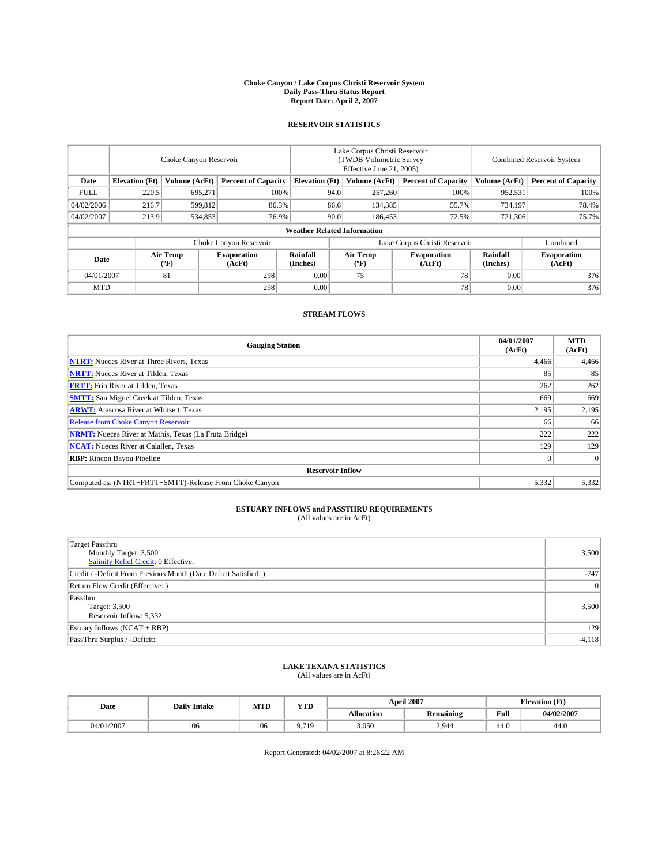### **Choke Canyon / Lake Corpus Christi Reservoir System Daily Pass-Thru Status Report Report Date: April 2, 2007**

### **RESERVOIR STATISTICS**

|             | Choke Canyon Reservoir             |                  |                              |                       | Lake Corpus Christi Reservoir<br>(TWDB Volumetric Survey<br>Effective June 21, 2005) |                  |                               |                      | Combined Reservoir System    |  |  |
|-------------|------------------------------------|------------------|------------------------------|-----------------------|--------------------------------------------------------------------------------------|------------------|-------------------------------|----------------------|------------------------------|--|--|
| Date        | <b>Elevation</b> (Ft)              | Volume (AcFt)    | <b>Percent of Capacity</b>   | <b>Elevation</b> (Ft) |                                                                                      | Volume (AcFt)    | <b>Percent of Capacity</b>    | Volume (AcFt)        | <b>Percent of Capacity</b>   |  |  |
| <b>FULL</b> | 220.5                              | 695.271          | 100%                         |                       | 94.0                                                                                 | 257,260          | 100%                          | 952,531              | 100%                         |  |  |
| 04/02/2006  | 216.7                              | 599,812          | 86.3%                        |                       | 86.6                                                                                 | 134,385          | 55.7%                         | 734,197              | 78.4%                        |  |  |
| 04/02/2007  | 213.9                              | 534,853          | 76.9%                        |                       | 90.0                                                                                 | 186,453          | 72.5%                         | 721,306              | 75.7%                        |  |  |
|             | <b>Weather Related Information</b> |                  |                              |                       |                                                                                      |                  |                               |                      |                              |  |  |
|             |                                    |                  | Choke Canyon Reservoir       |                       |                                                                                      |                  | Lake Corpus Christi Reservoir |                      | Combined                     |  |  |
| Date        |                                    | Air Temp<br>(°F) | <b>Evaporation</b><br>(AcFt) | Rainfall<br>(Inches)  |                                                                                      | Air Temp<br>("F) | <b>Evaporation</b><br>(AcFt)  | Rainfall<br>(Inches) | <b>Evaporation</b><br>(AcFt) |  |  |
| 04/01/2007  |                                    | 81               | 298                          | 0.00                  |                                                                                      | 75               | 78                            | 0.00                 | 376                          |  |  |
| <b>MTD</b>  |                                    |                  | 298                          | 0.00                  |                                                                                      |                  | 78                            | 0.00                 | 376                          |  |  |

## **STREAM FLOWS**

| <b>Gauging Station</b>                                       | 04/01/2007<br>(AcFt) | <b>MTD</b><br>(AcFt) |
|--------------------------------------------------------------|----------------------|----------------------|
| <b>NTRT:</b> Nueces River at Three Rivers, Texas             | 4,466                | 4,466                |
| <b>NRTT:</b> Nueces River at Tilden, Texas                   | 85                   | 85                   |
| <b>FRTT:</b> Frio River at Tilden, Texas                     | 262                  | 262                  |
| <b>SMTT:</b> San Miguel Creek at Tilden, Texas               | 669                  | 669                  |
| <b>ARWT:</b> Atascosa River at Whitsett, Texas               | 2,195                | 2,195                |
| <b>Release from Choke Canyon Reservoir</b>                   | 66                   | 66                   |
| <b>NRMT:</b> Nueces River at Mathis, Texas (La Fruta Bridge) | 222                  | 222                  |
| <b>NCAT:</b> Nueces River at Calallen, Texas                 | 129                  | 129                  |
| <b>RBP:</b> Rincon Bayou Pipeline                            |                      | $\Omega$             |
| <b>Reservoir Inflow</b>                                      |                      |                      |
| Computed as: (NTRT+FRTT+SMTT)-Release From Choke Canyon      | 5,332                | 5,332                |

# **ESTUARY INFLOWS and PASSTHRU REQUIREMENTS**<br>(All values are in AcFt)

| Target Passthru<br>Monthly Target: 3,500<br><b>Salinity Relief Credit: 0 Effective:</b> | 3,500    |
|-----------------------------------------------------------------------------------------|----------|
| Credit / -Deficit From Previous Month (Date Deficit Satisfied: )                        | $-747$   |
| Return Flow Credit (Effective:)                                                         | 0        |
| Passthru<br>Target: 3,500<br>Reservoir Inflow: 5,332                                    | 3,500    |
| Estuary Inflows (NCAT + RBP)                                                            | 129      |
| PassThru Surplus / -Deficit:                                                            | $-4,118$ |

# **LAKE TEXANA STATISTICS** (All values are in AcFt)

| Date       | <b>Daily Intake</b> | MTD | YTD            |                   | <b>April 2007</b> | <b>Elevation</b> (Ft) |            |  |
|------------|---------------------|-----|----------------|-------------------|-------------------|-----------------------|------------|--|
|            |                     |     |                | <b>Allocation</b> | <b>Remaining</b>  | Full                  | 04/02/2007 |  |
| 04/01/2007 | 106                 | 106 | Q 71Q<br>,,,,, | 3,050             | 2.944             | 44.0                  | 44.0       |  |

Report Generated: 04/02/2007 at 8:26:22 AM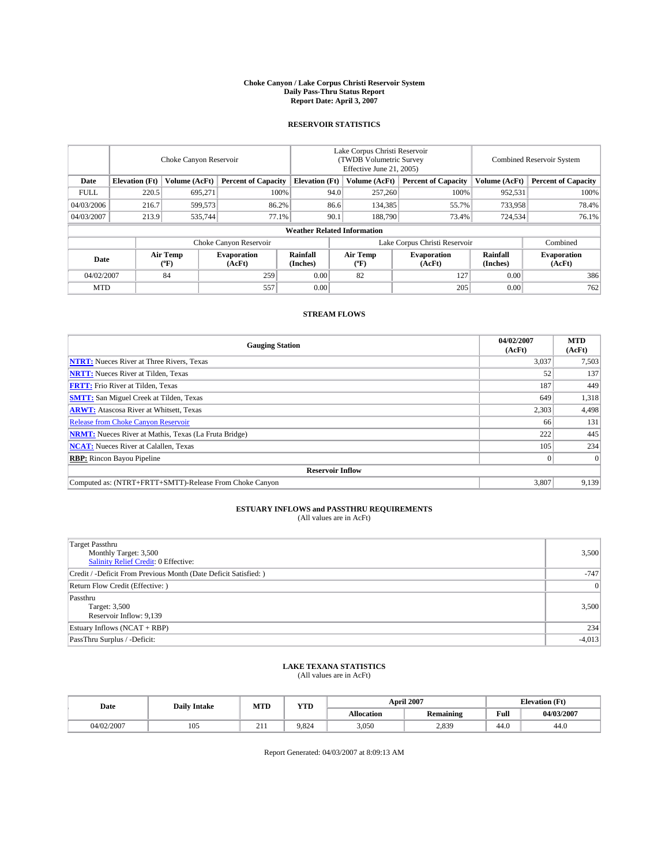### **Choke Canyon / Lake Corpus Christi Reservoir System Daily Pass-Thru Status Report Report Date: April 3, 2007**

### **RESERVOIR STATISTICS**

|             | Choke Canyon Reservoir             |                  |                              |                       | Lake Corpus Christi Reservoir<br>(TWDB Volumetric Survey<br>Effective June 21, 2005) |                  |                               |                      | Combined Reservoir System    |  |  |
|-------------|------------------------------------|------------------|------------------------------|-----------------------|--------------------------------------------------------------------------------------|------------------|-------------------------------|----------------------|------------------------------|--|--|
| Date        | <b>Elevation</b> (Ft)              | Volume (AcFt)    | <b>Percent of Capacity</b>   | <b>Elevation</b> (Ft) |                                                                                      | Volume (AcFt)    | <b>Percent of Capacity</b>    | Volume (AcFt)        | <b>Percent of Capacity</b>   |  |  |
| <b>FULL</b> | 220.5                              | 695.271          | 100%                         |                       | 94.0                                                                                 | 257,260          | 100%                          | 952,531              | 100%                         |  |  |
| 04/03/2006  | 216.7                              | 599,573          | 86.2%                        |                       | 86.6                                                                                 | 134,385          | 55.7%                         | 733,958              | 78.4%                        |  |  |
| 04/03/2007  | 213.9                              | 535,744          | 77.1%                        |                       | 90.1                                                                                 | 188,790          | 73.4%                         | 724,534              | 76.1%                        |  |  |
|             | <b>Weather Related Information</b> |                  |                              |                       |                                                                                      |                  |                               |                      |                              |  |  |
|             |                                    |                  | Choke Canyon Reservoir       |                       |                                                                                      |                  | Lake Corpus Christi Reservoir |                      | Combined                     |  |  |
| Date        |                                    | Air Temp<br>(°F) | <b>Evaporation</b><br>(AcFt) | Rainfall<br>(Inches)  |                                                                                      | Air Temp<br>("F) | <b>Evaporation</b><br>(AcFt)  | Rainfall<br>(Inches) | <b>Evaporation</b><br>(AcFt) |  |  |
| 04/02/2007  |                                    | 84               | 259                          | 0.00                  |                                                                                      | 82               | 127                           | 0.00                 | 386                          |  |  |
| <b>MTD</b>  |                                    |                  | 557                          | 0.00                  |                                                                                      |                  | 205                           | 0.00                 | 762                          |  |  |

### **STREAM FLOWS**

| <b>Gauging Station</b>                                       | 04/02/2007<br>(AcFt) | <b>MTD</b><br>(AcFt) |
|--------------------------------------------------------------|----------------------|----------------------|
| <b>NTRT:</b> Nueces River at Three Rivers, Texas             | 3,037                | 7,503                |
| <b>NRTT:</b> Nueces River at Tilden, Texas                   | 52                   | 137                  |
| <b>FRTT:</b> Frio River at Tilden, Texas                     | 187                  | 449                  |
| <b>SMTT:</b> San Miguel Creek at Tilden, Texas               | 649                  | 1,318                |
| <b>ARWT:</b> Atascosa River at Whitsett, Texas               | 2,303                | 4,498                |
| <b>Release from Choke Canyon Reservoir</b>                   | 66                   | 131                  |
| <b>NRMT:</b> Nueces River at Mathis, Texas (La Fruta Bridge) | 222                  | 445                  |
| <b>NCAT:</b> Nueces River at Calallen, Texas                 | 105                  | 234                  |
| <b>RBP:</b> Rincon Bayou Pipeline                            |                      | $\Omega$             |
| <b>Reservoir Inflow</b>                                      |                      |                      |
| Computed as: (NTRT+FRTT+SMTT)-Release From Choke Canyon      | 3.807                | 9,139                |

# **ESTUARY INFLOWS and PASSTHRU REQUIREMENTS**<br>(All values are in AcFt)

| Target Passthru<br>Monthly Target: 3,500<br><b>Salinity Relief Credit: 0 Effective:</b> | 3,500    |
|-----------------------------------------------------------------------------------------|----------|
| Credit / -Deficit From Previous Month (Date Deficit Satisfied: )                        | $-747$   |
| Return Flow Credit (Effective: )                                                        | 0        |
| Passthru<br>Target: 3,500<br>Reservoir Inflow: 9,139                                    | 3,500    |
| Estuary Inflows (NCAT + RBP)                                                            | 234      |
| PassThru Surplus / -Deficit:                                                            | $-4,013$ |

## **LAKE TEXANA STATISTICS** (All values are in AcFt)

| Date       | <b>Daily Intake</b> | <b>MTD</b>         | $\mathbf{v}$<br>1 I D |                   | <b>April 2007</b> | <b>Elevation</b> (Ft) |            |  |
|------------|---------------------|--------------------|-----------------------|-------------------|-------------------|-----------------------|------------|--|
|            |                     |                    |                       | <b>Allocation</b> | <b>Remaining</b>  | Full                  | 04/03/2007 |  |
| 0.4/02/200 | 105                 | 011<br>$\angle$ 11 | 9.824                 | 3.050             | 2,839             | 44.0                  | 44.0       |  |

Report Generated: 04/03/2007 at 8:09:13 AM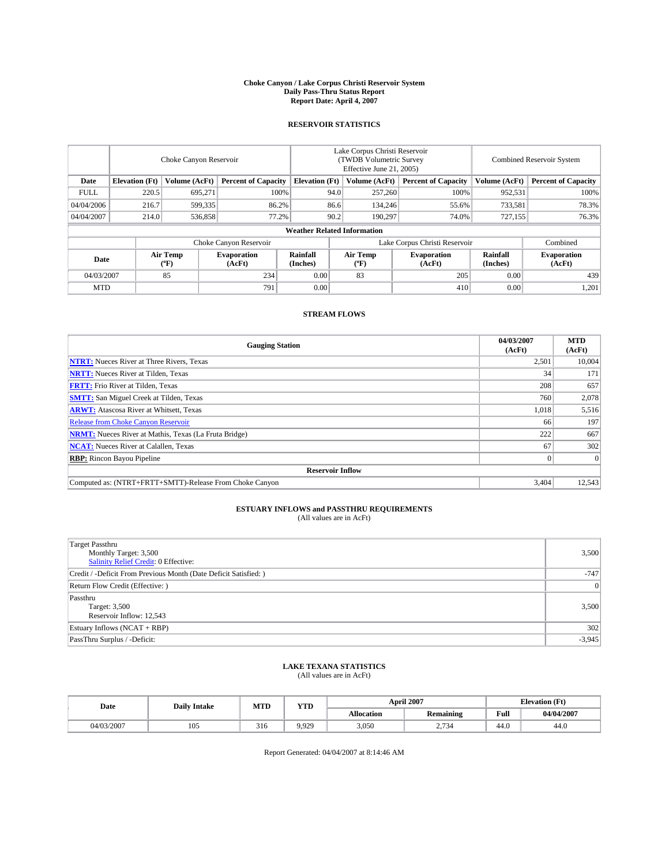### **Choke Canyon / Lake Corpus Christi Reservoir System Daily Pass-Thru Status Report Report Date: April 4, 2007**

### **RESERVOIR STATISTICS**

|             | Choke Canyon Reservoir |                  |                              |                                    | Lake Corpus Christi Reservoir<br>(TWDB Volumetric Survey<br>Effective June 21, 2005) |                  |                               | Combined Reservoir System |                              |  |
|-------------|------------------------|------------------|------------------------------|------------------------------------|--------------------------------------------------------------------------------------|------------------|-------------------------------|---------------------------|------------------------------|--|
| Date        | <b>Elevation</b> (Ft)  | Volume (AcFt)    | <b>Percent of Capacity</b>   | <b>Elevation</b> (Ft)              |                                                                                      | Volume (AcFt)    | <b>Percent of Capacity</b>    | Volume (AcFt)             | <b>Percent of Capacity</b>   |  |
| <b>FULL</b> | 220.5                  | 695.271          | 100%                         |                                    | 94.0                                                                                 | 257,260          | 100%                          | 952,531                   | 100%                         |  |
| 04/04/2006  | 216.7                  | 599,335          | 86.2%                        |                                    | 86.6                                                                                 | 134,246          | 55.6%                         | 733,581                   | 78.3%                        |  |
| 04/04/2007  | 214.0                  | 536,858          | 77.2%                        |                                    | 90.2                                                                                 | 190.297          | 74.0%                         | 727,155                   | 76.3%                        |  |
|             |                        |                  |                              | <b>Weather Related Information</b> |                                                                                      |                  |                               |                           |                              |  |
|             |                        |                  | Choke Canyon Reservoir       |                                    |                                                                                      |                  | Lake Corpus Christi Reservoir |                           | Combined                     |  |
| Date        |                        | Air Temp<br>(°F) | <b>Evaporation</b><br>(AcFt) | Rainfall<br>(Inches)               |                                                                                      | Air Temp<br>("F) | <b>Evaporation</b><br>(AcFt)  | Rainfall<br>(Inches)      | <b>Evaporation</b><br>(AcFt) |  |
| 04/03/2007  |                        | 85               | 234                          | 0.00                               |                                                                                      | 83               | 205                           | 0.00                      | 439                          |  |
| <b>MTD</b>  |                        |                  | 791                          | 0.00                               |                                                                                      |                  | 410                           | 0.00                      | 1,201                        |  |

### **STREAM FLOWS**

| <b>Gauging Station</b>                                       | 04/03/2007<br>(AcFt) | <b>MTD</b><br>(AcFt) |
|--------------------------------------------------------------|----------------------|----------------------|
| <b>NTRT:</b> Nueces River at Three Rivers, Texas             | 2,501                | 10,004               |
| <b>NRTT:</b> Nueces River at Tilden, Texas                   | 34                   | 171                  |
| <b>FRTT:</b> Frio River at Tilden, Texas                     | 208                  | 657                  |
| <b>SMTT:</b> San Miguel Creek at Tilden, Texas               | 760                  | 2,078                |
| <b>ARWT:</b> Atascosa River at Whitsett, Texas               | 1,018                | 5,516                |
| <b>Release from Choke Canyon Reservoir</b>                   | 66                   | 197                  |
| <b>NRMT:</b> Nueces River at Mathis, Texas (La Fruta Bridge) | 222                  | 667                  |
| <b>NCAT:</b> Nueces River at Calallen, Texas                 | 67                   | 302                  |
| <b>RBP:</b> Rincon Bayou Pipeline                            |                      | $\Omega$             |
| <b>Reservoir Inflow</b>                                      |                      |                      |
| Computed as: (NTRT+FRTT+SMTT)-Release From Choke Canyon      | 3.404                | 12,543               |

# **ESTUARY INFLOWS and PASSTHRU REQUIREMENTS**<br>(All values are in AcFt)

| <b>Target Passthru</b><br>Monthly Target: 3,500<br>Salinity Relief Credit: 0 Effective: | 3,500    |
|-----------------------------------------------------------------------------------------|----------|
| Credit / -Deficit From Previous Month (Date Deficit Satisfied: )                        | $-747$   |
| Return Flow Credit (Effective:)                                                         | 0        |
| Passthru<br>Target: 3,500<br>Reservoir Inflow: 12,543                                   | 3,500    |
| Estuary Inflows (NCAT + RBP)                                                            | 302      |
| PassThru Surplus / -Deficit:                                                            | $-3,945$ |

# **LAKE TEXANA STATISTICS** (All values are in AcFt)

| Date       | <b>Daily Intake</b> | MTD | YTD   | <b>April 2007</b><br><b>Elevation</b> (Ft) |                  |      |            |  |
|------------|---------------------|-----|-------|--------------------------------------------|------------------|------|------------|--|
|            |                     |     |       | <b>Allocation</b>                          | <b>Remaining</b> | Full | 04/04/2007 |  |
| 04/03/2007 | $\Omega$<br>$10-$   | 316 | 9.929 | 3,050                                      | 2,734            | 44.0 | 44.0       |  |

Report Generated: 04/04/2007 at 8:14:46 AM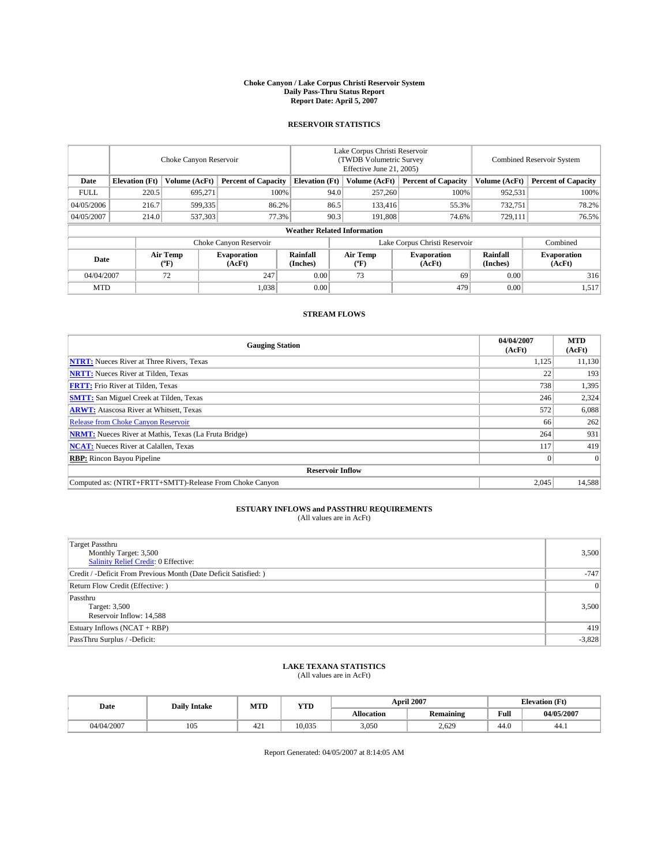### **Choke Canyon / Lake Corpus Christi Reservoir System Daily Pass-Thru Status Report Report Date: April 5, 2007**

### **RESERVOIR STATISTICS**

|             | Choke Canyon Reservoir             |                         |                              |                       | Lake Corpus Christi Reservoir<br>(TWDB Volumetric Survey<br>Effective June 21, 2005) |                              |                               |                      | <b>Combined Reservoir System</b> |  |  |
|-------------|------------------------------------|-------------------------|------------------------------|-----------------------|--------------------------------------------------------------------------------------|------------------------------|-------------------------------|----------------------|----------------------------------|--|--|
| Date        | <b>Elevation</b> (Ft)              | Volume (AcFt)           | <b>Percent of Capacity</b>   | <b>Elevation</b> (Ft) |                                                                                      | Volume (AcFt)                | <b>Percent of Capacity</b>    | Volume (AcFt)        | <b>Percent of Capacity</b>       |  |  |
| <b>FULL</b> | 220.5                              | 695.271                 | 100%                         |                       | 94.0                                                                                 | 257,260                      | 100%                          | 952,531              | 100%                             |  |  |
| 04/05/2006  | 216.7                              | 599,335                 | 86.2%                        |                       | 86.5                                                                                 | 133,416                      | 55.3%                         | 732,751              | 78.2%                            |  |  |
| 04/05/2007  | 214.0                              | 537,303                 | 77.3%                        |                       | 90.3                                                                                 | 191.808                      | 74.6%                         | 729,111              | 76.5%                            |  |  |
|             | <b>Weather Related Information</b> |                         |                              |                       |                                                                                      |                              |                               |                      |                                  |  |  |
|             |                                    |                         | Choke Canyon Reservoir       |                       |                                                                                      |                              | Lake Corpus Christi Reservoir |                      | Combined                         |  |  |
| Date        |                                    | <b>Air Temp</b><br>(°F) | <b>Evaporation</b><br>(AcFt) | Rainfall<br>(Inches)  |                                                                                      | Air Temp<br>$(^{o}\text{F})$ | <b>Evaporation</b><br>(AcFt)  | Rainfall<br>(Inches) | <b>Evaporation</b><br>(AcFt)     |  |  |
| 04/04/2007  |                                    | 72                      | 247                          | 0.00                  |                                                                                      | 73                           | 69                            | 0.00                 | 316                              |  |  |
| <b>MTD</b>  |                                    |                         | 1,038                        | 0.00                  |                                                                                      |                              | 479                           | 0.00                 | 1,517                            |  |  |

### **STREAM FLOWS**

| <b>Gauging Station</b>                                       | 04/04/2007<br>(AcFt) | <b>MTD</b><br>(AcFt) |
|--------------------------------------------------------------|----------------------|----------------------|
| <b>NTRT:</b> Nueces River at Three Rivers, Texas             | 1,125                | 11,130               |
| <b>NRTT:</b> Nueces River at Tilden, Texas                   | 22                   | 193                  |
| <b>FRTT:</b> Frio River at Tilden, Texas                     | 738                  | 1,395                |
| <b>SMTT:</b> San Miguel Creek at Tilden, Texas               | 246                  | 2,324                |
| <b>ARWT:</b> Atascosa River at Whitsett, Texas               | 572                  | 6,088                |
| <b>Release from Choke Canyon Reservoir</b>                   | 66                   | 262                  |
| <b>NRMT:</b> Nueces River at Mathis, Texas (La Fruta Bridge) | 264                  | 931                  |
| <b>NCAT:</b> Nueces River at Calallen, Texas                 | 117                  | 419                  |
| <b>RBP:</b> Rincon Bayou Pipeline                            |                      | $\Omega$             |
| <b>Reservoir Inflow</b>                                      |                      |                      |
| Computed as: (NTRT+FRTT+SMTT)-Release From Choke Canyon      | 2,045                | 14,588               |

# **ESTUARY INFLOWS and PASSTHRU REQUIREMENTS**<br>(All values are in AcFt)

| <b>Target Passthru</b><br>Monthly Target: 3,500<br>Salinity Relief Credit: 0 Effective: | 3,500    |
|-----------------------------------------------------------------------------------------|----------|
| Credit / -Deficit From Previous Month (Date Deficit Satisfied: )                        | $-747$   |
| Return Flow Credit (Effective:)                                                         | 0        |
| Passthru<br>Target: 3,500<br>Reservoir Inflow: 14,588                                   | 3,500    |
| Estuary Inflows (NCAT + RBP)                                                            | 419      |
| PassThru Surplus / -Deficit:                                                            | $-3,828$ |

## **LAKE TEXANA STATISTICS** (All values are in AcFt)

| Date       | <b>Daily Intake</b> | MTD             | <b>YTD</b> |                   | <b>April 2007</b> | <b>Elevation (Ft)</b> |            |  |
|------------|---------------------|-----------------|------------|-------------------|-------------------|-----------------------|------------|--|
|            |                     |                 |            | <b>Allocation</b> | <b>Remaining</b>  | Full                  | 04/05/2007 |  |
| 04/04/2007 | 105                 | 42 <sup>2</sup> | 10.035     | 3,050             | 2.629             | 44.0                  | 44.1       |  |

Report Generated: 04/05/2007 at 8:14:05 AM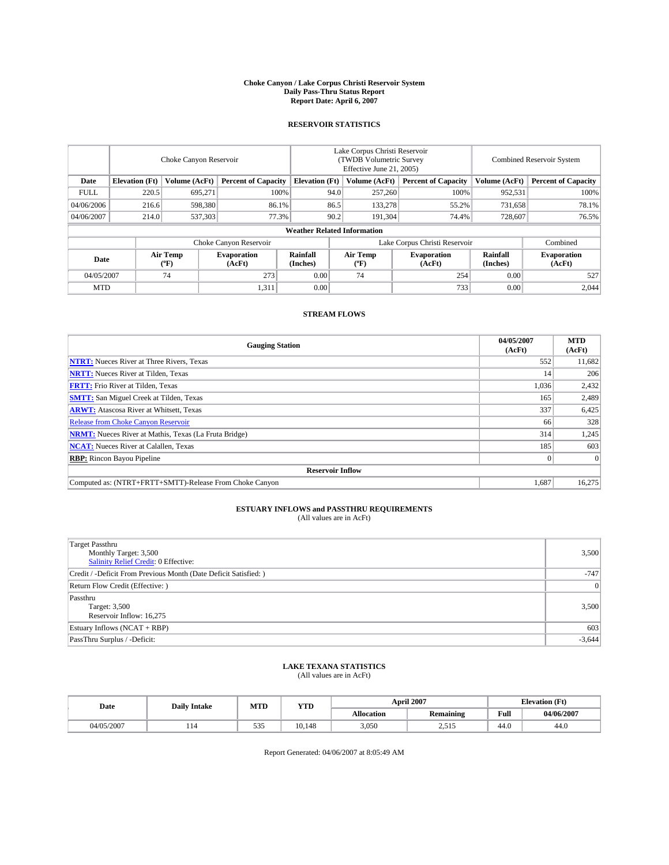### **Choke Canyon / Lake Corpus Christi Reservoir System Daily Pass-Thru Status Report Report Date: April 6, 2007**

### **RESERVOIR STATISTICS**

|             | Choke Canyon Reservoir             |                  |                              |                       | Lake Corpus Christi Reservoir<br>(TWDB Volumetric Survey<br>Effective June 21, 2005) |                  |                               | Combined Reservoir System |                              |  |
|-------------|------------------------------------|------------------|------------------------------|-----------------------|--------------------------------------------------------------------------------------|------------------|-------------------------------|---------------------------|------------------------------|--|
| Date        | <b>Elevation</b> (Ft)              | Volume (AcFt)    | <b>Percent of Capacity</b>   | <b>Elevation</b> (Ft) |                                                                                      | Volume (AcFt)    | <b>Percent of Capacity</b>    | Volume (AcFt)             | <b>Percent of Capacity</b>   |  |
| <b>FULL</b> | 220.5                              | 695.271          | 100%                         |                       | 94.0                                                                                 | 257,260          | 100%                          | 952,531                   | 100%                         |  |
| 04/06/2006  | 216.6                              | 598,380          | 86.1%                        |                       | 86.5                                                                                 | 133,278          | 55.2%                         | 731,658                   | 78.1%                        |  |
| 04/06/2007  | 214.0                              | 537,303          | 77.3%                        |                       | 90.2                                                                                 | 191,304          | 74.4%                         | 728,607                   | 76.5%                        |  |
|             | <b>Weather Related Information</b> |                  |                              |                       |                                                                                      |                  |                               |                           |                              |  |
|             |                                    |                  | Choke Canyon Reservoir       |                       |                                                                                      |                  | Lake Corpus Christi Reservoir |                           | Combined                     |  |
| Date        |                                    | Air Temp<br>(°F) | <b>Evaporation</b><br>(AcFt) | Rainfall<br>(Inches)  |                                                                                      | Air Temp<br>("F) | <b>Evaporation</b><br>(AcFt)  | Rainfall<br>(Inches)      | <b>Evaporation</b><br>(AcFt) |  |
| 04/05/2007  |                                    | 74               | 273                          | 0.00                  |                                                                                      | 74               | 254                           | 0.00                      | 527                          |  |
| <b>MTD</b>  |                                    |                  | 1,311                        | 0.00                  |                                                                                      |                  | 733                           | 0.00                      | 2,044                        |  |

### **STREAM FLOWS**

| <b>Gauging Station</b>                                       | 04/05/2007<br>(AcFt) | <b>MTD</b><br>(AcFt) |
|--------------------------------------------------------------|----------------------|----------------------|
| <b>NTRT:</b> Nueces River at Three Rivers, Texas             | 552                  | 11,682               |
| <b>NRTT:</b> Nueces River at Tilden, Texas                   | 14                   | 206                  |
| <b>FRTT:</b> Frio River at Tilden, Texas                     | 1,036                | 2,432                |
| <b>SMTT:</b> San Miguel Creek at Tilden, Texas               | 165                  | 2,489                |
| <b>ARWT:</b> Atascosa River at Whitsett, Texas               | 337                  | 6,425                |
| <b>Release from Choke Canyon Reservoir</b>                   | 66                   | 328                  |
| <b>NRMT:</b> Nueces River at Mathis, Texas (La Fruta Bridge) | 314                  | 1,245                |
| <b>NCAT:</b> Nueces River at Calallen, Texas                 | 185                  | 603                  |
| <b>RBP:</b> Rincon Bayou Pipeline                            |                      | $\overline{0}$       |
| <b>Reservoir Inflow</b>                                      |                      |                      |
| Computed as: (NTRT+FRTT+SMTT)-Release From Choke Canyon      | 1,687                | 16,275               |

# **ESTUARY INFLOWS and PASSTHRU REQUIREMENTS**<br>(All values are in AcFt)

| <b>Target Passthru</b><br>Monthly Target: 3,500<br>Salinity Relief Credit: 0 Effective: | 3,500    |
|-----------------------------------------------------------------------------------------|----------|
| Credit / -Deficit From Previous Month (Date Deficit Satisfied: )                        | $-747$   |
| Return Flow Credit (Effective:)                                                         | 0        |
| Passthru<br>Target: 3,500<br>Reservoir Inflow: 16,275                                   | 3,500    |
| Estuary Inflows (NCAT + RBP)                                                            | 603      |
| PassThru Surplus / -Deficit:                                                            | $-3,644$ |

# **LAKE TEXANA STATISTICS** (All values are in AcFt)

| Date       | <b>Daily Intake</b> | MTD         | <b>YTD</b> |                   | <b>April 2007</b>     | <b>Elevation (Ft)</b> |            |
|------------|---------------------|-------------|------------|-------------------|-----------------------|-----------------------|------------|
|            |                     |             |            | <b>Allocation</b> | <b>Remaining</b>      | Full                  | 04/06/2007 |
| 04/05/2007 | - 14                | $-1$<br>--- | 10.148     | 3,050             | ---<br>. . 1<br>ل 1 ف | 44.0                  | 44.0       |

Report Generated: 04/06/2007 at 8:05:49 AM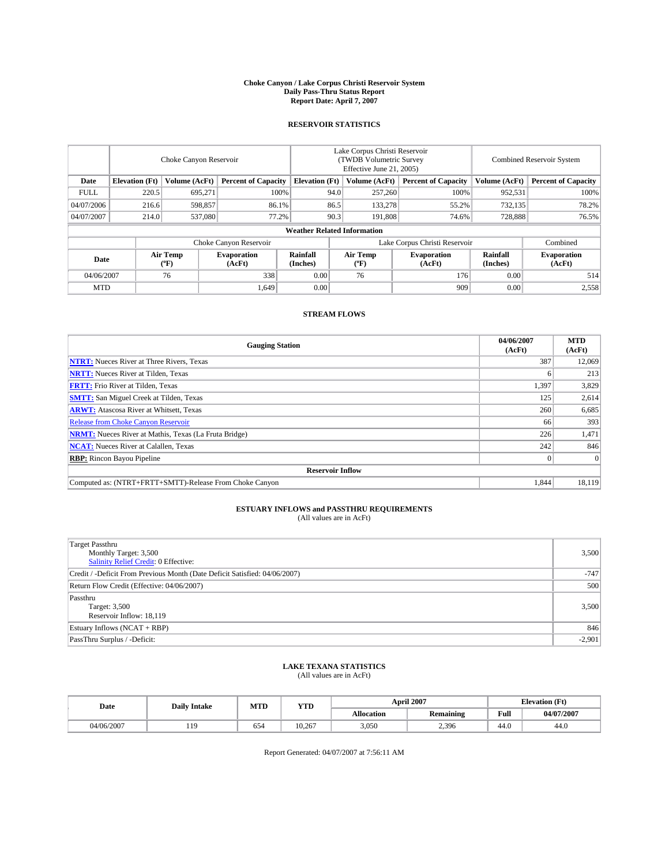### **Choke Canyon / Lake Corpus Christi Reservoir System Daily Pass-Thru Status Report Report Date: April 7, 2007**

### **RESERVOIR STATISTICS**

|             | Choke Canyon Reservoir             |                  |                              |                       | Lake Corpus Christi Reservoir<br>(TWDB Volumetric Survey<br>Effective June 21, 2005) |                  |                               |                      | Combined Reservoir System    |  |  |
|-------------|------------------------------------|------------------|------------------------------|-----------------------|--------------------------------------------------------------------------------------|------------------|-------------------------------|----------------------|------------------------------|--|--|
| Date        | <b>Elevation</b> (Ft)              | Volume (AcFt)    | <b>Percent of Capacity</b>   | <b>Elevation</b> (Ft) |                                                                                      | Volume (AcFt)    | <b>Percent of Capacity</b>    | Volume (AcFt)        | <b>Percent of Capacity</b>   |  |  |
| <b>FULL</b> | 220.5                              | 695.271          | 100%                         |                       | 94.0                                                                                 | 257,260          | 100%                          | 952,531              | 100%                         |  |  |
| 04/07/2006  | 216.6                              | 598,857          | 86.1%                        |                       | 86.5                                                                                 | 133,278          | 55.2%                         | 732,135              | 78.2%                        |  |  |
| 04/07/2007  | 214.0                              | 537,080          | 77.2%                        |                       | 90.3                                                                                 | 191.808          | 74.6%                         | 728,888              | 76.5%                        |  |  |
|             | <b>Weather Related Information</b> |                  |                              |                       |                                                                                      |                  |                               |                      |                              |  |  |
|             |                                    |                  | Choke Canyon Reservoir       |                       |                                                                                      |                  | Lake Corpus Christi Reservoir |                      | Combined                     |  |  |
| Date        |                                    | Air Temp<br>(°F) | <b>Evaporation</b><br>(AcFt) | Rainfall<br>(Inches)  |                                                                                      | Air Temp<br>("F) | <b>Evaporation</b><br>(AcFt)  | Rainfall<br>(Inches) | <b>Evaporation</b><br>(AcFt) |  |  |
| 04/06/2007  |                                    | 76               | 338                          | 0.00                  |                                                                                      | 76               | 176                           | 0.00                 | 514                          |  |  |
| <b>MTD</b>  |                                    |                  | 1.649                        | 0.00                  |                                                                                      |                  | 909                           | 0.00                 | 2,558                        |  |  |

### **STREAM FLOWS**

| <b>Gauging Station</b>                                       | 04/06/2007<br>(AcFt) | <b>MTD</b><br>(AcFt) |
|--------------------------------------------------------------|----------------------|----------------------|
| <b>NTRT:</b> Nueces River at Three Rivers, Texas             | 387                  | 12,069               |
| <b>NRTT:</b> Nueces River at Tilden, Texas                   |                      | 213                  |
| <b>FRTT:</b> Frio River at Tilden, Texas                     | 1,397                | 3,829                |
| <b>SMTT:</b> San Miguel Creek at Tilden, Texas               | 125                  | 2,614                |
| <b>ARWT:</b> Atascosa River at Whitsett, Texas               | 260                  | 6,685                |
| <b>Release from Choke Canyon Reservoir</b>                   | 66                   | 393                  |
| <b>NRMT:</b> Nueces River at Mathis, Texas (La Fruta Bridge) | 226                  | 1,471                |
| <b>NCAT:</b> Nueces River at Calallen, Texas                 | 242                  | 846                  |
| <b>RBP:</b> Rincon Bayou Pipeline                            |                      | $\Omega$             |
| <b>Reservoir Inflow</b>                                      |                      |                      |
| Computed as: (NTRT+FRTT+SMTT)-Release From Choke Canyon      | 1,844                | 18.119               |

# **ESTUARY INFLOWS and PASSTHRU REQUIREMENTS**<br>(All values are in AcFt)

| <b>Target Passthru</b><br>Monthly Target: 3,500<br>Salinity Relief Credit: 0 Effective: | 3,500    |
|-----------------------------------------------------------------------------------------|----------|
| Credit / -Deficit From Previous Month (Date Deficit Satisfied: 04/06/2007)              | $-747$   |
| Return Flow Credit (Effective: 04/06/2007)                                              | 500      |
| Passthru<br>Target: 3,500<br>Reservoir Inflow: 18,119                                   | 3,500    |
| Estuary Inflows (NCAT + RBP)                                                            | 846      |
| PassThru Surplus / -Deficit:                                                            | $-2,901$ |

## **LAKE TEXANA STATISTICS** (All values are in AcFt)

| Date       | <b>Daily Intake</b> | MTD | <b>YTD</b> |                   | <b>April 2007</b> | <b>Elevation (Ft)</b> |            |
|------------|---------------------|-----|------------|-------------------|-------------------|-----------------------|------------|
|            |                     |     |            | <b>Allocation</b> | <b>Remaining</b>  | Full                  | 04/07/2007 |
| 04/06/2007 | $10^{-1}$<br>.      | 654 | 10.267     | 3.050             | 2,396             | 44.0                  | 44.0       |

Report Generated: 04/07/2007 at 7:56:11 AM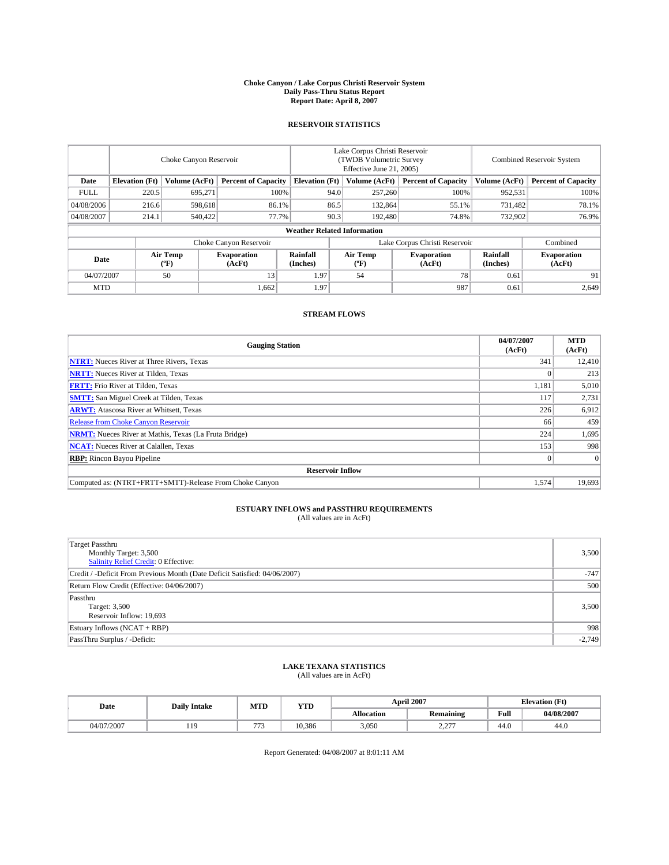### **Choke Canyon / Lake Corpus Christi Reservoir System Daily Pass-Thru Status Report Report Date: April 8, 2007**

### **RESERVOIR STATISTICS**

|             | Choke Canyon Reservoir |                  |                              |                                    | Lake Corpus Christi Reservoir<br>(TWDB Volumetric Survey<br>Effective June 21, 2005) |                  |                               | Combined Reservoir System |                              |  |
|-------------|------------------------|------------------|------------------------------|------------------------------------|--------------------------------------------------------------------------------------|------------------|-------------------------------|---------------------------|------------------------------|--|
| Date        | <b>Elevation</b> (Ft)  | Volume (AcFt)    | <b>Percent of Capacity</b>   | <b>Elevation</b> (Ft)              |                                                                                      | Volume (AcFt)    | <b>Percent of Capacity</b>    | Volume (AcFt)             | <b>Percent of Capacity</b>   |  |
| <b>FULL</b> | 220.5                  | 695.271          | 100%                         |                                    | 94.0                                                                                 | 257,260          | 100%                          | 952,531                   | 100%                         |  |
| 04/08/2006  | 216.6                  | 598.618          | 86.1%                        |                                    | 86.5                                                                                 | 132,864          | 55.1%                         | 731,482                   | 78.1%                        |  |
| 04/08/2007  | 214.1                  | 540,422          | 77.7%                        |                                    | 90.3                                                                                 | 192,480          | 74.8%                         | 732,902                   | 76.9%                        |  |
|             |                        |                  |                              | <b>Weather Related Information</b> |                                                                                      |                  |                               |                           |                              |  |
|             |                        |                  | Choke Canyon Reservoir       |                                    |                                                                                      |                  | Lake Corpus Christi Reservoir |                           | Combined                     |  |
| Date        |                        | Air Temp<br>(°F) | <b>Evaporation</b><br>(AcFt) | Rainfall<br>(Inches)               |                                                                                      | Air Temp<br>("F) | <b>Evaporation</b><br>(AcFt)  | Rainfall<br>(Inches)      | <b>Evaporation</b><br>(AcFt) |  |
| 04/07/2007  |                        | 50               | 13                           | 1.97                               |                                                                                      | 54               | 78                            | 0.61                      | 91                           |  |
| <b>MTD</b>  |                        |                  | 1,662                        | 1.97                               |                                                                                      |                  | 987                           | 0.61                      | 2,649                        |  |

### **STREAM FLOWS**

| <b>Gauging Station</b>                                       | 04/07/2007<br>(AcFt) | <b>MTD</b><br>(AcFt) |
|--------------------------------------------------------------|----------------------|----------------------|
| <b>NTRT:</b> Nueces River at Three Rivers, Texas             | 341                  | 12,410               |
| <b>NRTT:</b> Nueces River at Tilden, Texas                   |                      | 213                  |
| <b>FRTT:</b> Frio River at Tilden, Texas                     | 1,181                | 5,010                |
| <b>SMTT:</b> San Miguel Creek at Tilden, Texas               | 117                  | 2,731                |
| <b>ARWT:</b> Atascosa River at Whitsett, Texas               | 226                  | 6,912                |
| <b>Release from Choke Canyon Reservoir</b>                   | 66                   | 459                  |
| <b>NRMT:</b> Nueces River at Mathis, Texas (La Fruta Bridge) | 224                  | 1,695                |
| <b>NCAT:</b> Nueces River at Calallen, Texas                 | 153                  | 998                  |
| <b>RBP:</b> Rincon Bayou Pipeline                            |                      | $\Omega$             |
| <b>Reservoir Inflow</b>                                      |                      |                      |
| Computed as: (NTRT+FRTT+SMTT)-Release From Choke Canyon      | 1,574                | 19.693               |

# **ESTUARY INFLOWS and PASSTHRU REQUIREMENTS**<br>(All values are in AcFt)

| <b>Target Passthru</b><br>Monthly Target: 3,500<br>Salinity Relief Credit: 0 Effective: | 3,500    |
|-----------------------------------------------------------------------------------------|----------|
| Credit / -Deficit From Previous Month (Date Deficit Satisfied: 04/06/2007)              | $-747$   |
| Return Flow Credit (Effective: 04/06/2007)                                              | 500      |
| Passthru<br>Target: 3,500<br>Reservoir Inflow: 19,693                                   | 3,500    |
| Estuary Inflows (NCAT + RBP)                                                            | 998      |
| PassThru Surplus / -Deficit:                                                            | $-2,749$ |

## **LAKE TEXANA STATISTICS** (All values are in AcFt)

| Date       | <b>Daily Intake</b> | MTD   | <b>YTD</b> |                   | <b>April 2007</b> | <b>Elevation</b> (Ft) |            |
|------------|---------------------|-------|------------|-------------------|-------------------|-----------------------|------------|
|            |                     |       |            | <b>Allocation</b> | <b>Remaining</b>  | Full                  | 04/08/2007 |
| 04/07/2007 | 1Q<br>              | $- -$ | 10.386     | 3.050             | 2.277<br>، سەمىسە | 44.0                  | 44.0       |

Report Generated: 04/08/2007 at 8:01:11 AM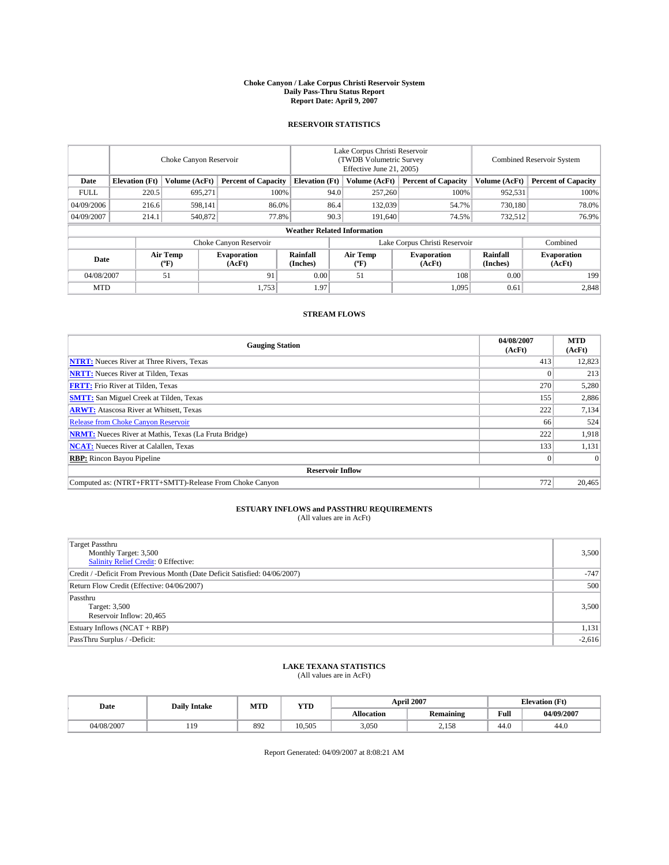### **Choke Canyon / Lake Corpus Christi Reservoir System Daily Pass-Thru Status Report Report Date: April 9, 2007**

### **RESERVOIR STATISTICS**

|             | Choke Canyon Reservoir             |                  |                              |                       | Lake Corpus Christi Reservoir<br>(TWDB Volumetric Survey<br>Effective June 21, 2005) |                  |                               | Combined Reservoir System |                              |  |
|-------------|------------------------------------|------------------|------------------------------|-----------------------|--------------------------------------------------------------------------------------|------------------|-------------------------------|---------------------------|------------------------------|--|
| Date        | <b>Elevation</b> (Ft)              | Volume (AcFt)    | <b>Percent of Capacity</b>   | <b>Elevation</b> (Ft) |                                                                                      | Volume (AcFt)    | <b>Percent of Capacity</b>    | Volume (AcFt)             | <b>Percent of Capacity</b>   |  |
| <b>FULL</b> | 220.5                              | 695.271          | 100%                         |                       | 94.0                                                                                 | 257,260          | 100%                          | 952,531                   | 100%                         |  |
| 04/09/2006  | 216.6                              | 598,141          | 86.0%                        |                       | 86.4                                                                                 | 132,039          | 54.7%                         | 730,180                   | 78.0%                        |  |
| 04/09/2007  | 214.1                              | 540,872          | 77.8%                        |                       | 90.3                                                                                 | 191.640          | 74.5%                         | 732,512                   | 76.9%                        |  |
|             | <b>Weather Related Information</b> |                  |                              |                       |                                                                                      |                  |                               |                           |                              |  |
|             |                                    |                  | Choke Canyon Reservoir       |                       |                                                                                      |                  | Lake Corpus Christi Reservoir |                           | Combined                     |  |
| Date        |                                    | Air Temp<br>(°F) | <b>Evaporation</b><br>(AcFt) | Rainfall<br>(Inches)  |                                                                                      | Air Temp<br>("F) | <b>Evaporation</b><br>(AcFt)  | Rainfall<br>(Inches)      | <b>Evaporation</b><br>(AcFt) |  |
| 04/08/2007  |                                    | 51               | 91                           | 0.00                  |                                                                                      | 51               | 108                           | 0.00                      | 199                          |  |
| <b>MTD</b>  |                                    |                  | 1,753                        | 1.97                  |                                                                                      |                  | 1,095                         | 0.61                      | 2,848                        |  |

### **STREAM FLOWS**

| <b>Gauging Station</b>                                       | 04/08/2007<br>(AcFt) | <b>MTD</b><br>(AcFt) |
|--------------------------------------------------------------|----------------------|----------------------|
| <b>NTRT:</b> Nueces River at Three Rivers, Texas             | 413                  | 12,823               |
| <b>NRTT:</b> Nueces River at Tilden, Texas                   |                      | 213                  |
| <b>FRTT:</b> Frio River at Tilden, Texas                     | 270                  | 5,280                |
| <b>SMTT:</b> San Miguel Creek at Tilden, Texas               | 155                  | 2,886                |
| <b>ARWT:</b> Atascosa River at Whitsett, Texas               | 222                  | 7,134                |
| <b>Release from Choke Canyon Reservoir</b>                   | 66                   | 524                  |
| <b>NRMT:</b> Nueces River at Mathis, Texas (La Fruta Bridge) | 222                  | 1,918                |
| <b>NCAT:</b> Nueces River at Calallen, Texas                 | 133                  | 1,131                |
| <b>RBP:</b> Rincon Bayou Pipeline                            |                      | $\Omega$             |
| <b>Reservoir Inflow</b>                                      |                      |                      |
| Computed as: (NTRT+FRTT+SMTT)-Release From Choke Canyon      | 772                  | 20,465               |

# **ESTUARY INFLOWS and PASSTHRU REQUIREMENTS**<br>(All values are in AcFt)

| <b>Target Passthru</b><br>Monthly Target: 3,500<br><b>Salinity Relief Credit: 0 Effective:</b> | 3,500    |
|------------------------------------------------------------------------------------------------|----------|
| Credit / -Deficit From Previous Month (Date Deficit Satisfied: 04/06/2007)                     | $-747$   |
| Return Flow Credit (Effective: 04/06/2007)                                                     | 500      |
| Passthru<br>Target: 3,500<br>Reservoir Inflow: 20,465                                          | 3,500    |
| Estuary Inflows (NCAT + RBP)                                                                   | 1,131    |
| PassThru Surplus / -Deficit:                                                                   | $-2,616$ |

## **LAKE TEXANA STATISTICS** (All values are in AcFt)

| Date       | <b>Daily Intake</b> | MTD | <b>YTD</b> |                   | <b>April 2007</b> | <b>Elevation</b> (Ft) |            |
|------------|---------------------|-----|------------|-------------------|-------------------|-----------------------|------------|
|            |                     |     |            | <b>Allocation</b> | <b>Remaining</b>  | Full                  | 04/09/2007 |
| 04/08/2007 | $10^{-1}$           | 892 | 10.505     | 3,050             | າ 150<br>2,130    | 44.0                  | 44.0       |

Report Generated: 04/09/2007 at 8:08:21 AM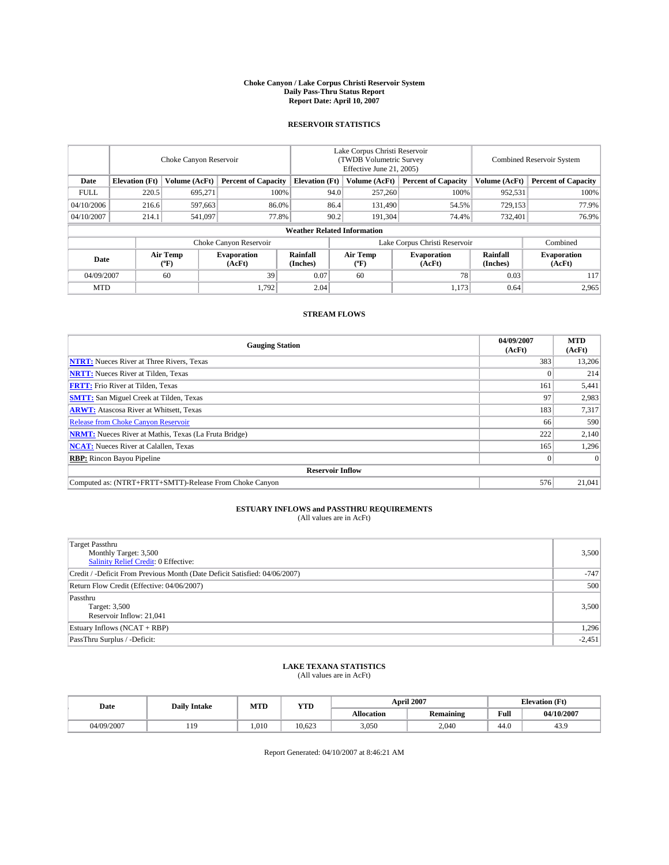### **Choke Canyon / Lake Corpus Christi Reservoir System Daily Pass-Thru Status Report Report Date: April 10, 2007**

### **RESERVOIR STATISTICS**

|             | Choke Canyon Reservoir |                  |                              |                                    | Lake Corpus Christi Reservoir<br>(TWDB Volumetric Survey<br>Effective June 21, 2005) |                  |                              | <b>Combined Reservoir System</b> |                              |  |
|-------------|------------------------|------------------|------------------------------|------------------------------------|--------------------------------------------------------------------------------------|------------------|------------------------------|----------------------------------|------------------------------|--|
| Date        | <b>Elevation</b> (Ft)  | Volume (AcFt)    | <b>Percent of Capacity</b>   | <b>Elevation</b> (Ft)              |                                                                                      | Volume (AcFt)    | <b>Percent of Capacity</b>   | Volume (AcFt)                    | <b>Percent of Capacity</b>   |  |
| <b>FULL</b> | 220.5                  | 695.271          | 100%                         |                                    | 94.0                                                                                 | 257,260          | 100%                         | 952,531                          | 100%                         |  |
| 04/10/2006  | 216.6                  | 597,663          | 86.0%                        |                                    | 86.4                                                                                 | 131,490          | 54.5%                        | 729,153                          | 77.9%                        |  |
| 04/10/2007  | 214.1                  | 541,097          | 77.8%                        |                                    | 90.2                                                                                 | 191,304          | 74.4%                        | 732,401                          | 76.9%                        |  |
|             |                        |                  |                              | <b>Weather Related Information</b> |                                                                                      |                  |                              |                                  |                              |  |
|             |                        |                  | Choke Canyon Reservoir       |                                    | Lake Corpus Christi Reservoir                                                        |                  |                              |                                  | Combined                     |  |
| Date        |                        | Air Temp<br>(°F) | <b>Evaporation</b><br>(AcFt) | Rainfall<br>(Inches)               |                                                                                      | Air Temp<br>("F) | <b>Evaporation</b><br>(AcFt) | Rainfall<br>(Inches)             | <b>Evaporation</b><br>(AcFt) |  |
| 04/09/2007  |                        | 60               | 39                           | 0.07                               |                                                                                      | 60               | 78                           | 0.03                             | 117                          |  |
| <b>MTD</b>  |                        |                  | 1,792                        | 2.04                               |                                                                                      |                  | 1,173                        | 0.64                             | 2,965                        |  |

### **STREAM FLOWS**

| <b>Gauging Station</b>                                       | 04/09/2007<br>(AcFt) | <b>MTD</b><br>(AcFt) |
|--------------------------------------------------------------|----------------------|----------------------|
| <b>NTRT:</b> Nueces River at Three Rivers, Texas             | 383                  | 13,206               |
| <b>NRTT:</b> Nueces River at Tilden, Texas                   |                      | 214                  |
| <b>FRTT:</b> Frio River at Tilden, Texas                     | 161                  | 5,441                |
| <b>SMTT:</b> San Miguel Creek at Tilden, Texas               | 97                   | 2,983                |
| <b>ARWT:</b> Atascosa River at Whitsett, Texas               | 183                  | 7,317                |
| <b>Release from Choke Canyon Reservoir</b>                   | 66                   | 590                  |
| <b>NRMT:</b> Nueces River at Mathis, Texas (La Fruta Bridge) | 222                  | 2,140                |
| <b>NCAT:</b> Nueces River at Calallen, Texas                 | 165                  | 1,296                |
| <b>RBP:</b> Rincon Bayou Pipeline                            |                      | $\Omega$             |
| <b>Reservoir Inflow</b>                                      |                      |                      |
| Computed as: (NTRT+FRTT+SMTT)-Release From Choke Canyon      | 576                  | 21,041               |

# **ESTUARY INFLOWS and PASSTHRU REQUIREMENTS**<br>(All values are in AcFt)

| <b>Target Passthru</b><br>Monthly Target: 3,500<br>Salinity Relief Credit: 0 Effective: | 3,500    |
|-----------------------------------------------------------------------------------------|----------|
| Credit / -Deficit From Previous Month (Date Deficit Satisfied: 04/06/2007)              | $-747$   |
| Return Flow Credit (Effective: 04/06/2007)                                              | 500      |
| Passthru<br>Target: 3,500<br>Reservoir Inflow: 21,041                                   | 3,500    |
| Estuary Inflows (NCAT + RBP)                                                            | 1,296    |
| PassThru Surplus / -Deficit:                                                            | $-2,451$ |

## **LAKE TEXANA STATISTICS** (All values are in AcFt)

| Date       | <b>Daily Intake</b> | MTD   | <b>YTD</b> |                   | <b>April 2007</b> | <b>Elevation (Ft)</b> |            |
|------------|---------------------|-------|------------|-------------------|-------------------|-----------------------|------------|
|            |                     |       |            | <b>Allocation</b> | <b>Remaining</b>  | Full                  | 04/10/2007 |
| 04/09/2007 | $10^{-1}$<br>.      | 1.010 | 10.623     | 3,050             | 2.040             | 44.0                  | 43.9       |

Report Generated: 04/10/2007 at 8:46:21 AM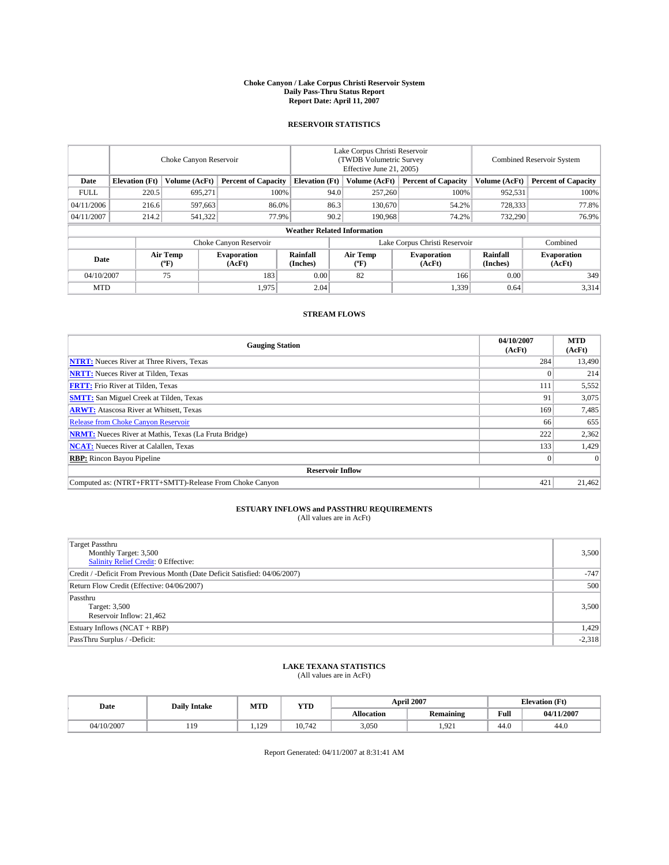### **Choke Canyon / Lake Corpus Christi Reservoir System Daily Pass-Thru Status Report Report Date: April 11, 2007**

### **RESERVOIR STATISTICS**

|             | Choke Canyon Reservoir             |                  |                              |                       | Lake Corpus Christi Reservoir<br>(TWDB Volumetric Survey<br>Effective June 21, 2005) |                  |                               | <b>Combined Reservoir System</b> |                              |  |
|-------------|------------------------------------|------------------|------------------------------|-----------------------|--------------------------------------------------------------------------------------|------------------|-------------------------------|----------------------------------|------------------------------|--|
| Date        | <b>Elevation</b> (Ft)              | Volume (AcFt)    | <b>Percent of Capacity</b>   | <b>Elevation</b> (Ft) |                                                                                      | Volume (AcFt)    | <b>Percent of Capacity</b>    | Volume (AcFt)                    | <b>Percent of Capacity</b>   |  |
| <b>FULL</b> | 220.5                              | 695,271          | 100%                         |                       | 94.0                                                                                 | 257,260          | 100%                          | 952,531                          | 100%                         |  |
| 04/11/2006  | 216.6                              | 597,663          | 86.0%                        |                       | 86.3                                                                                 | 130,670          | 54.2%                         | 728,333                          | 77.8%                        |  |
| 04/11/2007  | 214.2                              | 541,322          | 77.9%                        |                       | 90.2                                                                                 | 190.968          | 74.2%                         | 732,290                          | 76.9%                        |  |
|             | <b>Weather Related Information</b> |                  |                              |                       |                                                                                      |                  |                               |                                  |                              |  |
|             |                                    |                  | Choke Canyon Reservoir       |                       |                                                                                      |                  | Lake Corpus Christi Reservoir |                                  | Combined                     |  |
| Date        |                                    | Air Temp<br>(°F) | <b>Evaporation</b><br>(AcFt) | Rainfall<br>(Inches)  |                                                                                      | Air Temp<br>("F) | <b>Evaporation</b><br>(AcFt)  | Rainfall<br>(Inches)             | <b>Evaporation</b><br>(AcFt) |  |
| 04/10/2007  |                                    | 75               | 183                          | 0.00                  |                                                                                      | 82               | 166                           | 0.00                             | 349                          |  |
| <b>MTD</b>  |                                    |                  | 1,975                        | 2.04                  |                                                                                      |                  | 1,339                         | 0.64                             | 3,314                        |  |

### **STREAM FLOWS**

| <b>Gauging Station</b>                                       | 04/10/2007<br>(AcFt) | <b>MTD</b><br>(AcFt) |
|--------------------------------------------------------------|----------------------|----------------------|
| <b>NTRT:</b> Nueces River at Three Rivers, Texas             | 284                  | 13,490               |
| <b>NRTT:</b> Nueces River at Tilden, Texas                   |                      | 214                  |
| <b>FRTT:</b> Frio River at Tilden, Texas                     | 111                  | 5,552                |
| <b>SMTT:</b> San Miguel Creek at Tilden, Texas               | 91                   | 3,075                |
| <b>ARWT:</b> Atascosa River at Whitsett, Texas               | 169                  | 7,485                |
| <b>Release from Choke Canyon Reservoir</b>                   | 66                   | 655                  |
| <b>NRMT:</b> Nueces River at Mathis, Texas (La Fruta Bridge) | 222                  | 2,362                |
| <b>NCAT:</b> Nueces River at Calallen, Texas                 | 133                  | 1,429                |
| <b>RBP:</b> Rincon Bayou Pipeline                            |                      | $\Omega$             |
| <b>Reservoir Inflow</b>                                      |                      |                      |
| Computed as: (NTRT+FRTT+SMTT)-Release From Choke Canyon      | 421                  | 21,462               |

# **ESTUARY INFLOWS and PASSTHRU REQUIREMENTS**<br>(All values are in AcFt)

| <b>Target Passthru</b><br>Monthly Target: 3,500<br>Salinity Relief Credit: 0 Effective: | 3,500    |
|-----------------------------------------------------------------------------------------|----------|
| Credit / -Deficit From Previous Month (Date Deficit Satisfied: 04/06/2007)              | $-747$   |
| Return Flow Credit (Effective: 04/06/2007)                                              | 500      |
| Passthru<br>Target: 3,500<br>Reservoir Inflow: 21,462                                   | 3,500    |
| Estuary Inflows (NCAT + RBP)                                                            | 1,429    |
| PassThru Surplus / -Deficit:                                                            | $-2,318$ |

## **LAKE TEXANA STATISTICS** (All values are in AcFt)

| Date       | <b>Daily Intake</b> | MTD          | <b>YTD</b> |                   | <b>April 2007</b> | <b>Elevation (Ft)</b> |            |
|------------|---------------------|--------------|------------|-------------------|-------------------|-----------------------|------------|
|            |                     |              |            | <b>Allocation</b> | <b>Remaining</b>  | Full                  | 04/11/2007 |
| 04/10/2007 | $10^{-1}$<br>.      | 129<br>1.127 | 10.742     | 3,050             | 1.921             | 44.0                  | 44.0       |

Report Generated: 04/11/2007 at 8:31:41 AM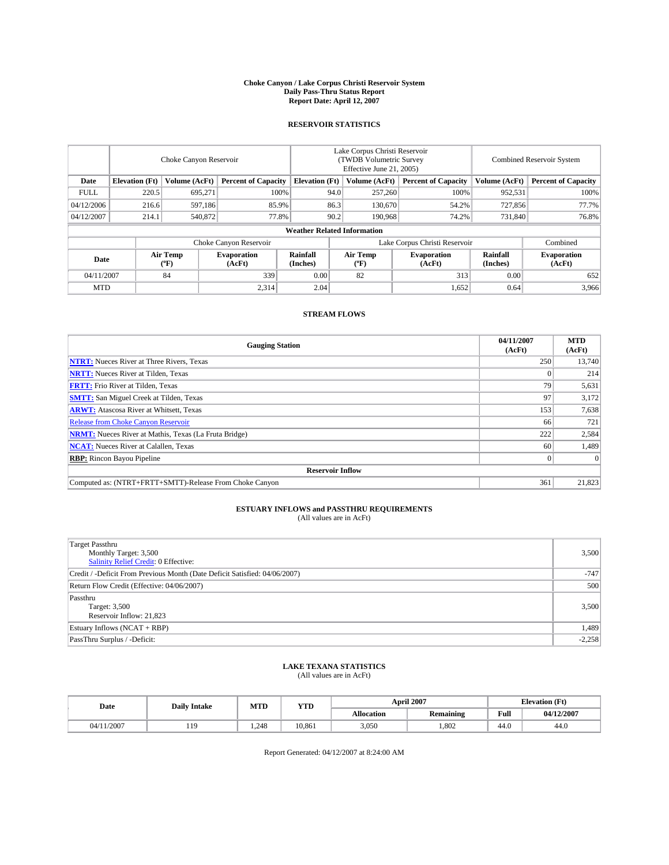### **Choke Canyon / Lake Corpus Christi Reservoir System Daily Pass-Thru Status Report Report Date: April 12, 2007**

### **RESERVOIR STATISTICS**

|             | Choke Canyon Reservoir |                  |                              |                                    | Lake Corpus Christi Reservoir<br>(TWDB Volumetric Survey<br>Effective June 21, 2005) |                  |                               |                      | <b>Combined Reservoir System</b> |  |  |
|-------------|------------------------|------------------|------------------------------|------------------------------------|--------------------------------------------------------------------------------------|------------------|-------------------------------|----------------------|----------------------------------|--|--|
| Date        | <b>Elevation</b> (Ft)  | Volume (AcFt)    | <b>Percent of Capacity</b>   | <b>Elevation</b> (Ft)              |                                                                                      | Volume (AcFt)    | <b>Percent of Capacity</b>    | Volume (AcFt)        | <b>Percent of Capacity</b>       |  |  |
| <b>FULL</b> | 220.5                  | 695,271          | 100%                         |                                    | 94.0                                                                                 | 257,260          | 100%                          | 952,531              | 100%                             |  |  |
| 04/12/2006  | 216.6                  | 597,186          | 85.9%                        |                                    | 86.3                                                                                 | 130,670          | 54.2%                         | 727,856              | 77.7%                            |  |  |
| 04/12/2007  | 214.1                  | 540,872          | 77.8%                        |                                    | 90.2                                                                                 | 190.968          | 74.2%                         | 731,840              | 76.8%                            |  |  |
|             |                        |                  |                              | <b>Weather Related Information</b> |                                                                                      |                  |                               |                      |                                  |  |  |
|             |                        |                  | Choke Canyon Reservoir       |                                    |                                                                                      |                  | Lake Corpus Christi Reservoir |                      | Combined                         |  |  |
| Date        |                        | Air Temp<br>(°F) | <b>Evaporation</b><br>(AcFt) | Rainfall<br>(Inches)               |                                                                                      | Air Temp<br>("F) | <b>Evaporation</b><br>(AcFt)  | Rainfall<br>(Inches) | <b>Evaporation</b><br>(AcFt)     |  |  |
| 04/11/2007  |                        | 84               | 339                          | 0.00                               |                                                                                      | 82               | 313                           | 0.00                 | 652                              |  |  |
| <b>MTD</b>  |                        |                  | 2,314                        | 2.04                               |                                                                                      |                  | 1,652                         | 0.64                 | 3,966                            |  |  |

### **STREAM FLOWS**

| <b>Gauging Station</b>                                       | 04/11/2007<br>(AcFt) | <b>MTD</b><br>(AcFt) |
|--------------------------------------------------------------|----------------------|----------------------|
| <b>NTRT:</b> Nueces River at Three Rivers, Texas             | 250                  | 13,740               |
| <b>NRTT:</b> Nueces River at Tilden, Texas                   |                      | 214                  |
| <b>FRTT:</b> Frio River at Tilden, Texas                     | 79                   | 5,631                |
| <b>SMTT:</b> San Miguel Creek at Tilden, Texas               | 97                   | 3,172                |
| <b>ARWT:</b> Atascosa River at Whitsett, Texas               | 153                  | 7,638                |
| <b>Release from Choke Canyon Reservoir</b>                   | 66                   | 721                  |
| <b>NRMT:</b> Nueces River at Mathis, Texas (La Fruta Bridge) | 222                  | 2,584                |
| <b>NCAT:</b> Nueces River at Calallen, Texas                 | 60                   | 1,489                |
| <b>RBP:</b> Rincon Bayou Pipeline                            |                      | $\Omega$             |
| <b>Reservoir Inflow</b>                                      |                      |                      |
| Computed as: (NTRT+FRTT+SMTT)-Release From Choke Canyon      | 361                  | 21,823               |

# **ESTUARY INFLOWS and PASSTHRU REQUIREMENTS**<br>(All values are in AcFt)

| <b>Target Passthru</b><br>Monthly Target: 3,500<br><b>Salinity Relief Credit: 0 Effective:</b> | 3,500    |
|------------------------------------------------------------------------------------------------|----------|
| Credit / -Deficit From Previous Month (Date Deficit Satisfied: 04/06/2007)                     | $-747$   |
| Return Flow Credit (Effective: 04/06/2007)                                                     | 500      |
| Passthru<br>Target: 3,500<br>Reservoir Inflow: 21,823                                          | 3,500    |
| Estuary Inflows (NCAT + RBP)                                                                   | 1,489    |
| PassThru Surplus / -Deficit:                                                                   | $-2,258$ |

## **LAKE TEXANA STATISTICS** (All values are in AcFt)

| Date       | <b>Daily Intake</b> | MTD   | <b>YTD</b> |                   | <b>April 2007</b> | <b>Elevation (Ft)</b> |            |
|------------|---------------------|-------|------------|-------------------|-------------------|-----------------------|------------|
|            |                     |       |            | <b>Allocation</b> | <b>Remaining</b>  | Full                  | 04/12/2007 |
| 04/11/2007 | $10^{-1}$<br>.      | 1.248 | 10.861     | 3,050             | .802              | 44.0                  | 44.0       |

Report Generated: 04/12/2007 at 8:24:00 AM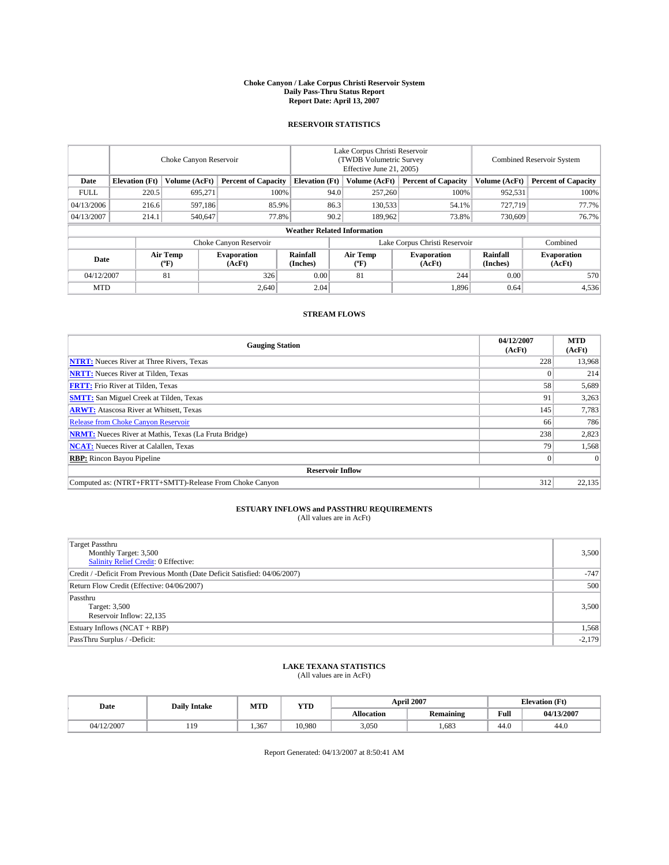### **Choke Canyon / Lake Corpus Christi Reservoir System Daily Pass-Thru Status Report Report Date: April 13, 2007**

### **RESERVOIR STATISTICS**

|             | Choke Canyon Reservoir             |                  |                              |                       | Lake Corpus Christi Reservoir<br>(TWDB Volumetric Survey<br>Effective June 21, 2005) |                  |                               | <b>Combined Reservoir System</b> |                              |  |
|-------------|------------------------------------|------------------|------------------------------|-----------------------|--------------------------------------------------------------------------------------|------------------|-------------------------------|----------------------------------|------------------------------|--|
| Date        | <b>Elevation</b> (Ft)              | Volume (AcFt)    | <b>Percent of Capacity</b>   | <b>Elevation</b> (Ft) |                                                                                      | Volume (AcFt)    | <b>Percent of Capacity</b>    | Volume (AcFt)                    | <b>Percent of Capacity</b>   |  |
| <b>FULL</b> | 220.5                              | 695.271          |                              | 100%                  | 94.0                                                                                 | 257,260          | 100%                          | 952,531                          | 100%                         |  |
| 04/13/2006  | 216.6                              | 597,186          | 85.9%                        |                       | 86.3                                                                                 | 130,533          | 54.1%                         | 727,719                          | 77.7%                        |  |
| 04/13/2007  | 214.1                              | 540,647          | 77.8%                        |                       | 90.2                                                                                 | 189,962          | 73.8%                         | 730,609                          | 76.7%                        |  |
|             | <b>Weather Related Information</b> |                  |                              |                       |                                                                                      |                  |                               |                                  |                              |  |
|             |                                    |                  | Choke Canyon Reservoir       |                       |                                                                                      |                  | Lake Corpus Christi Reservoir |                                  | Combined                     |  |
| Date        |                                    | Air Temp<br>(°F) | <b>Evaporation</b><br>(AcFt) | Rainfall<br>(Inches)  |                                                                                      | Air Temp<br>("F) | <b>Evaporation</b><br>(AcFt)  | Rainfall<br>(Inches)             | <b>Evaporation</b><br>(AcFt) |  |
| 04/12/2007  |                                    | 81               | 326                          | 0.00                  |                                                                                      | 81               | 244                           | 0.00                             | 570                          |  |
| <b>MTD</b>  |                                    |                  | 2.640                        | 2.04                  |                                                                                      |                  | 1,896                         | 0.64                             | 4,536                        |  |

### **STREAM FLOWS**

| <b>Gauging Station</b>                                       | 04/12/2007<br>(AcFt) | <b>MTD</b><br>(AcFt) |
|--------------------------------------------------------------|----------------------|----------------------|
| <b>NTRT:</b> Nueces River at Three Rivers, Texas             | 228                  | 13,968               |
| <b>NRTT:</b> Nueces River at Tilden, Texas                   |                      | 214                  |
| <b>FRTT:</b> Frio River at Tilden, Texas                     | 58                   | 5,689                |
| <b>SMTT:</b> San Miguel Creek at Tilden, Texas               | 91                   | 3,263                |
| <b>ARWT:</b> Atascosa River at Whitsett, Texas               | 145                  | 7,783                |
| <b>Release from Choke Canyon Reservoir</b>                   | 66                   | 786                  |
| <b>NRMT:</b> Nueces River at Mathis, Texas (La Fruta Bridge) | 238                  | 2,823                |
| <b>NCAT:</b> Nueces River at Calallen, Texas                 | 79                   | 1,568                |
| <b>RBP:</b> Rincon Bayou Pipeline                            |                      | $\Omega$             |
| <b>Reservoir Inflow</b>                                      |                      |                      |
| Computed as: (NTRT+FRTT+SMTT)-Release From Choke Canyon      | 312                  | 22,135               |

## **ESTUARY INFLOWS and PASSTHRU REQUIREMENTS**<br>(All values are in AcFt)

| <b>Target Passthru</b><br>Monthly Target: 3,500<br>Salinity Relief Credit: 0 Effective: | 3,500    |
|-----------------------------------------------------------------------------------------|----------|
| Credit / -Deficit From Previous Month (Date Deficit Satisfied: 04/06/2007)              | $-747$   |
| Return Flow Credit (Effective: 04/06/2007)                                              | 500      |
| Passthru<br>Target: 3,500<br>Reservoir Inflow: 22,135                                   | 3,500    |
| Estuary Inflows (NCAT + RBP)                                                            | 1,568    |
| PassThru Surplus / -Deficit:                                                            | $-2,179$ |

## **LAKE TEXANA STATISTICS** (All values are in AcFt)

| Date       | <b>Daily Intake</b> | MTD   | <b>YTD</b> |                   | <b>April 2007</b> | <b>Elevation (Ft)</b> |            |
|------------|---------------------|-------|------------|-------------------|-------------------|-----------------------|------------|
|            |                     |       |            | <b>Allocation</b> | <b>Remaining</b>  | Full                  | 04/13/2007 |
| 04/12/2007 | $10^{-1}$<br>.      | 1.367 | 10.980     | 3,050             | .683              | 44.0                  | 44.0       |

Report Generated: 04/13/2007 at 8:50:41 AM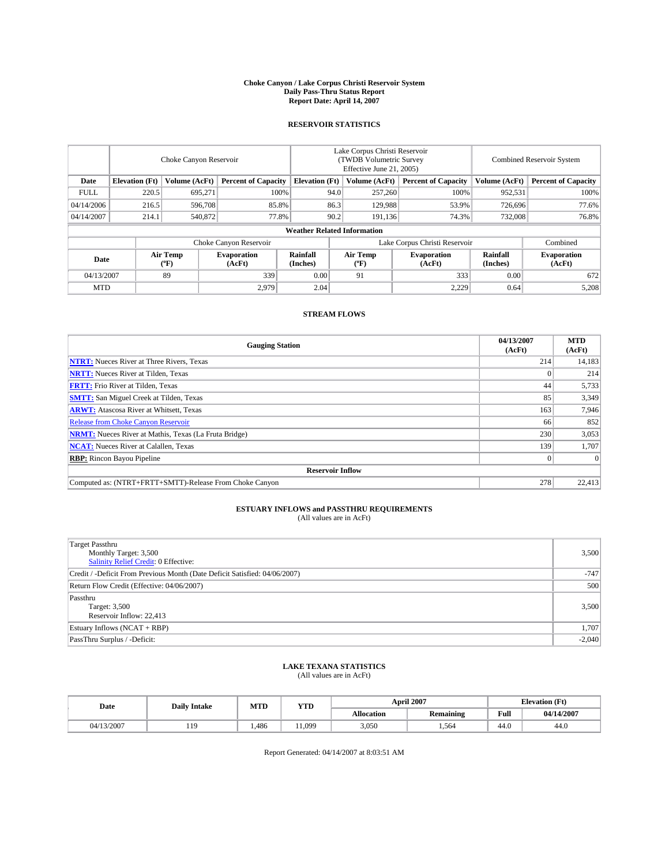### **Choke Canyon / Lake Corpus Christi Reservoir System Daily Pass-Thru Status Report Report Date: April 14, 2007**

### **RESERVOIR STATISTICS**

|             | Choke Canyon Reservoir             |                  |                              |                       | Lake Corpus Christi Reservoir<br>(TWDB Volumetric Survey<br>Effective June 21, 2005) |                  |                               | <b>Combined Reservoir System</b> |                              |  |
|-------------|------------------------------------|------------------|------------------------------|-----------------------|--------------------------------------------------------------------------------------|------------------|-------------------------------|----------------------------------|------------------------------|--|
| Date        | <b>Elevation</b> (Ft)              | Volume (AcFt)    | <b>Percent of Capacity</b>   | <b>Elevation</b> (Ft) |                                                                                      | Volume (AcFt)    | <b>Percent of Capacity</b>    | Volume (AcFt)                    | <b>Percent of Capacity</b>   |  |
| <b>FULL</b> | 220.5                              | 695.271          |                              | 100%                  | 94.0                                                                                 | 257,260          | 100%                          | 952,531                          | 100%                         |  |
| 04/14/2006  | 216.5                              | 596,708          | 85.8%                        |                       | 86.3                                                                                 | 129,988          | 53.9%                         | 726,696                          | 77.6%                        |  |
| 04/14/2007  | 214.1                              | 540,872          | 77.8%                        |                       | 90.2                                                                                 | 191,136          | 74.3%                         | 732,008                          | 76.8%                        |  |
|             | <b>Weather Related Information</b> |                  |                              |                       |                                                                                      |                  |                               |                                  |                              |  |
|             |                                    |                  | Choke Canyon Reservoir       |                       |                                                                                      |                  | Lake Corpus Christi Reservoir |                                  | Combined                     |  |
| Date        |                                    | Air Temp<br>(°F) | <b>Evaporation</b><br>(AcFt) | Rainfall<br>(Inches)  |                                                                                      | Air Temp<br>("F) | <b>Evaporation</b><br>(AcFt)  | Rainfall<br>(Inches)             | <b>Evaporation</b><br>(AcFt) |  |
| 04/13/2007  |                                    | 89               | 339                          | 0.00                  |                                                                                      | 91               | 333                           | 0.00                             | 672                          |  |
| <b>MTD</b>  |                                    |                  | 2.979                        | 2.04                  |                                                                                      |                  | 2,229                         | 0.64                             | 5,208                        |  |

### **STREAM FLOWS**

| <b>Gauging Station</b>                                       | 04/13/2007<br>(AcFt) | <b>MTD</b><br>(AcFt) |
|--------------------------------------------------------------|----------------------|----------------------|
| <b>NTRT:</b> Nueces River at Three Rivers, Texas             | 214                  | 14,183               |
| <b>NRTT:</b> Nueces River at Tilden, Texas                   |                      | 214                  |
| <b>FRTT:</b> Frio River at Tilden, Texas                     | 44                   | 5,733                |
| <b>SMTT:</b> San Miguel Creek at Tilden, Texas               | 85                   | 3,349                |
| <b>ARWT:</b> Atascosa River at Whitsett, Texas               | 163                  | 7,946                |
| <b>Release from Choke Canyon Reservoir</b>                   | 66                   | 852                  |
| <b>NRMT:</b> Nueces River at Mathis, Texas (La Fruta Bridge) | 230                  | 3,053                |
| <b>NCAT:</b> Nueces River at Calallen, Texas                 | 139                  | 1,707                |
| <b>RBP:</b> Rincon Bayou Pipeline                            |                      | $\Omega$             |
| <b>Reservoir Inflow</b>                                      |                      |                      |
| Computed as: (NTRT+FRTT+SMTT)-Release From Choke Canyon      | 278                  | 22,413               |

# **ESTUARY INFLOWS and PASSTHRU REQUIREMENTS**<br>(All values are in AcFt)

| <b>Target Passthru</b><br>Monthly Target: 3,500<br>Salinity Relief Credit: 0 Effective: | 3,500    |
|-----------------------------------------------------------------------------------------|----------|
| Credit / -Deficit From Previous Month (Date Deficit Satisfied: 04/06/2007)              | $-747$   |
| Return Flow Credit (Effective: 04/06/2007)                                              | 500      |
| Passthru<br>Target: 3,500<br>Reservoir Inflow: 22,413                                   | 3,500    |
| Estuary Inflows (NCAT + RBP)                                                            | 1,707    |
| PassThru Surplus / -Deficit:                                                            | $-2,040$ |

## **LAKE TEXANA STATISTICS** (All values are in AcFt)

| Date       | <b>Daily Intake</b> | MTD   | <b>YTD</b> |                   | <b>April 2007</b> |      | <b>Elevation</b> (Ft) |
|------------|---------------------|-------|------------|-------------------|-------------------|------|-----------------------|
|            |                     |       |            | <b>Allocation</b> | <b>Remaining</b>  | Full | 04/14/2007            |
| 04/13/2007 | 119                 | 1.486 | 1.099      | 3.050             | 1.564             | 44.0 | 44.0                  |

Report Generated: 04/14/2007 at 8:03:51 AM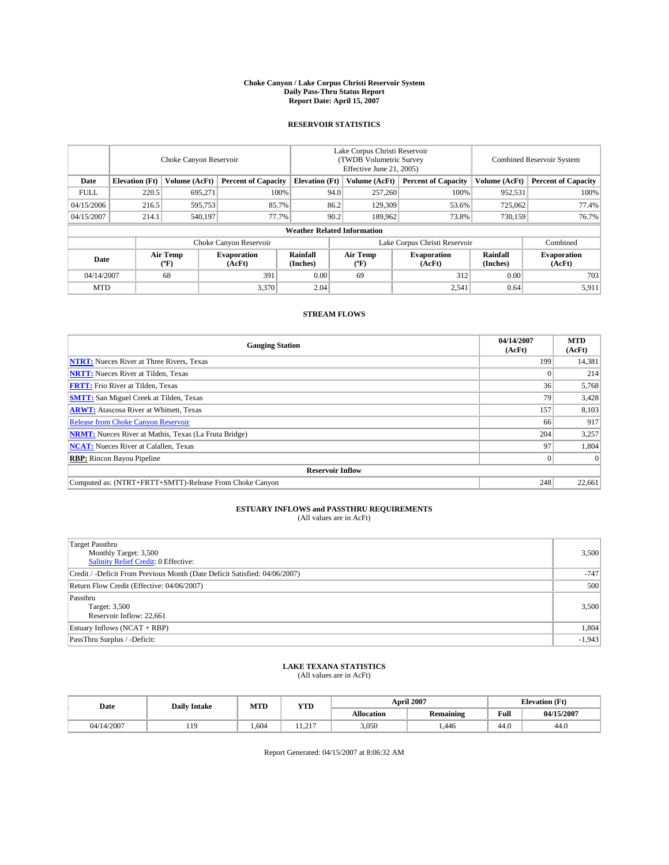### **Choke Canyon / Lake Corpus Christi Reservoir System Daily Pass-Thru Status Report Report Date: April 15, 2007**

### **RESERVOIR STATISTICS**

|             | Choke Canyon Reservoir             |                  |                              |                       | Lake Corpus Christi Reservoir<br>(TWDB Volumetric Survey<br>Effective June 21, 2005) |                  |                               | Combined Reservoir System |                              |  |
|-------------|------------------------------------|------------------|------------------------------|-----------------------|--------------------------------------------------------------------------------------|------------------|-------------------------------|---------------------------|------------------------------|--|
| Date        | <b>Elevation</b> (Ft)              | Volume (AcFt)    | <b>Percent of Capacity</b>   | <b>Elevation</b> (Ft) |                                                                                      | Volume (AcFt)    | <b>Percent of Capacity</b>    | Volume (AcFt)             | <b>Percent of Capacity</b>   |  |
| <b>FULL</b> | 220.5                              | 695.271          | 100%                         |                       | 94.0                                                                                 | 257,260          | 100%                          | 952,531                   | 100%                         |  |
| 04/15/2006  | 216.5                              | 595,753          | 85.7%                        |                       | 86.2                                                                                 | 129,309          | 53.6%                         | 725,062                   | 77.4%                        |  |
| 04/15/2007  | 214.1                              | 540,197          | 77.7%                        |                       | 90.2                                                                                 | 189,962          | 73.8%                         | 730,159                   | 76.7%                        |  |
|             | <b>Weather Related Information</b> |                  |                              |                       |                                                                                      |                  |                               |                           |                              |  |
|             |                                    |                  | Choke Canyon Reservoir       |                       |                                                                                      |                  | Lake Corpus Christi Reservoir |                           | Combined                     |  |
| Date        |                                    | Air Temp<br>(°F) | <b>Evaporation</b><br>(AcFt) | Rainfall<br>(Inches)  |                                                                                      | Air Temp<br>("F) | <b>Evaporation</b><br>(AcFt)  | Rainfall<br>(Inches)      | <b>Evaporation</b><br>(AcFt) |  |
| 04/14/2007  |                                    | 68               | 391                          | 0.00                  |                                                                                      | 69               | 312                           | 0.00                      | 703                          |  |
| <b>MTD</b>  |                                    |                  | 3,370                        | 2.04                  |                                                                                      |                  | 2,541                         | 0.64                      | 5,911                        |  |

### **STREAM FLOWS**

| <b>Gauging Station</b>                                       | 04/14/2007<br>(AcFt) | <b>MTD</b><br>(AcFt) |
|--------------------------------------------------------------|----------------------|----------------------|
| <b>NTRT:</b> Nueces River at Three Rivers, Texas             | 199                  | 14,381               |
| <b>NRTT:</b> Nueces River at Tilden, Texas                   |                      | 214                  |
| <b>FRTT:</b> Frio River at Tilden, Texas                     | 36 <sup>1</sup>      | 5,768                |
| <b>SMTT:</b> San Miguel Creek at Tilden, Texas               | 79                   | 3,428                |
| <b>ARWT:</b> Atascosa River at Whitsett, Texas               | 157                  | 8,103                |
| <b>Release from Choke Canyon Reservoir</b>                   | 66                   | 917                  |
| <b>NRMT:</b> Nueces River at Mathis, Texas (La Fruta Bridge) | 204                  | 3,257                |
| <b>NCAT:</b> Nueces River at Calallen, Texas                 | 97                   | 1,804                |
| <b>RBP:</b> Rincon Bayou Pipeline                            |                      | $\Omega$             |
| <b>Reservoir Inflow</b>                                      |                      |                      |
| Computed as: (NTRT+FRTT+SMTT)-Release From Choke Canyon      | 248                  | 22,661               |

# **ESTUARY INFLOWS and PASSTHRU REQUIREMENTS**<br>(All values are in AcFt)

| <b>Target Passthru</b><br>Monthly Target: 3,500<br>Salinity Relief Credit: 0 Effective: | 3,500    |
|-----------------------------------------------------------------------------------------|----------|
| Credit / -Deficit From Previous Month (Date Deficit Satisfied: 04/06/2007)              | $-747$   |
| Return Flow Credit (Effective: 04/06/2007)                                              | 500      |
| Passthru<br>Target: 3,500<br>Reservoir Inflow: 22,661                                   | 3,500    |
| Estuary Inflows (NCAT + RBP)                                                            | 1,804    |
| PassThru Surplus / -Deficit:                                                            | $-1,943$ |

## **LAKE TEXANA STATISTICS** (All values are in AcFt)

| Date       | <b>Daily Intake</b> | MTD   | <b>YTD</b>    |                   | <b>April 2007</b> | <b>Elevation</b> (Ft) |            |
|------------|---------------------|-------|---------------|-------------------|-------------------|-----------------------|------------|
|            |                     |       |               | <b>Allocation</b> | <b>Remaining</b>  | Full                  | 04/15/2007 |
| 04/14/2007 | $10^{-1}$<br>.      | 1.604 | 217<br>ناشد 1 | 3,050             | .446              | 44.0                  | 44.0       |

Report Generated: 04/15/2007 at 8:06:32 AM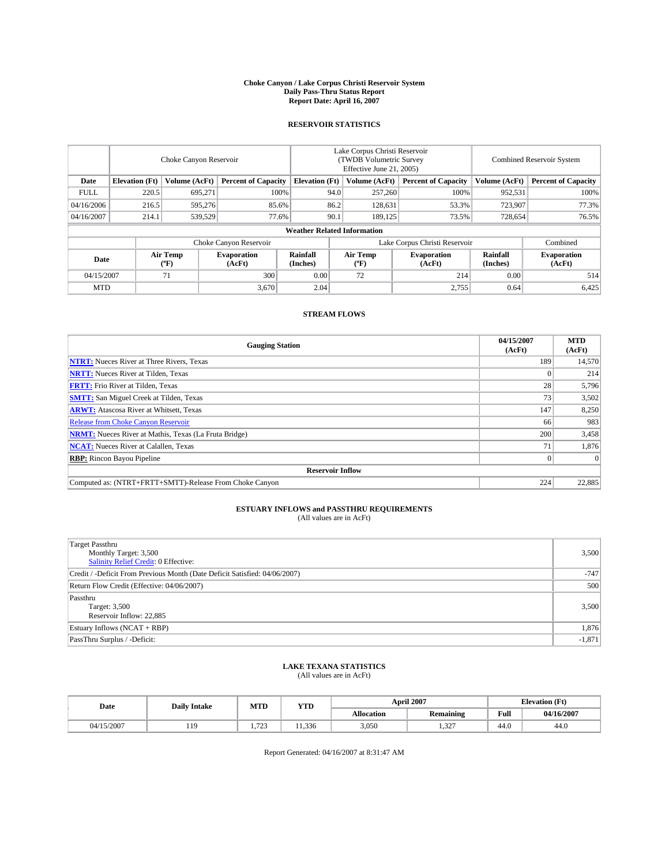### **Choke Canyon / Lake Corpus Christi Reservoir System Daily Pass-Thru Status Report Report Date: April 16, 2007**

### **RESERVOIR STATISTICS**

|             | Choke Canyon Reservoir |                  |                              |                                    | Lake Corpus Christi Reservoir<br>(TWDB Volumetric Survey<br>Effective June 21, 2005) |                  |                               | <b>Combined Reservoir System</b> |                              |  |
|-------------|------------------------|------------------|------------------------------|------------------------------------|--------------------------------------------------------------------------------------|------------------|-------------------------------|----------------------------------|------------------------------|--|
| Date        | <b>Elevation</b> (Ft)  | Volume (AcFt)    | <b>Percent of Capacity</b>   | <b>Elevation</b> (Ft)              |                                                                                      | Volume (AcFt)    | <b>Percent of Capacity</b>    | Volume (AcFt)                    | <b>Percent of Capacity</b>   |  |
| <b>FULL</b> | 220.5                  | 695.271          | 100%                         |                                    | 94.0                                                                                 | 257,260          | 100%                          | 952,531                          | 100%                         |  |
| 04/16/2006  | 216.5                  | 595,276          | 85.6%                        |                                    | 86.2                                                                                 | 128,631          | 53.3%                         | 723,907                          | 77.3%                        |  |
| 04/16/2007  | 214.1                  | 539,529          | 77.6%                        |                                    | 90.1                                                                                 | 189,125          | 73.5%                         | 728,654                          | 76.5%                        |  |
|             |                        |                  |                              | <b>Weather Related Information</b> |                                                                                      |                  |                               |                                  |                              |  |
|             |                        |                  | Choke Canyon Reservoir       |                                    |                                                                                      |                  | Lake Corpus Christi Reservoir |                                  | Combined                     |  |
| Date        |                        | Air Temp<br>(°F) | <b>Evaporation</b><br>(AcFt) | Rainfall<br>(Inches)               |                                                                                      | Air Temp<br>("F) | <b>Evaporation</b><br>(AcFt)  | Rainfall<br>(Inches)             | <b>Evaporation</b><br>(AcFt) |  |
| 04/15/2007  |                        | 71               | 300                          | 0.00                               |                                                                                      | 72               | 214                           | 0.00                             | 514                          |  |
| <b>MTD</b>  |                        |                  | 3,670                        | 2.04                               |                                                                                      |                  | 2,755                         | 0.64                             | 6,425                        |  |

## **STREAM FLOWS**

| <b>Gauging Station</b>                                       | 04/15/2007<br>(AcFt) | <b>MTD</b><br>(AcFt) |
|--------------------------------------------------------------|----------------------|----------------------|
| <b>NTRT:</b> Nueces River at Three Rivers, Texas             | 189                  | 14,570               |
| <b>NRTT:</b> Nueces River at Tilden, Texas                   |                      | 214                  |
| <b>FRTT:</b> Frio River at Tilden, Texas                     | 28                   | 5,796                |
| <b>SMTT:</b> San Miguel Creek at Tilden, Texas               | 73                   | 3,502                |
| <b>ARWT:</b> Atascosa River at Whitsett, Texas               | 147                  | 8,250                |
| <b>Release from Choke Canyon Reservoir</b>                   | 66                   | 983                  |
| <b>NRMT:</b> Nueces River at Mathis, Texas (La Fruta Bridge) | 200                  | 3,458                |
| <b>NCAT:</b> Nueces River at Calallen, Texas                 | 71                   | 1,876                |
| <b>RBP:</b> Rincon Bayou Pipeline                            |                      | $\Omega$             |
| <b>Reservoir Inflow</b>                                      |                      |                      |
| Computed as: (NTRT+FRTT+SMTT)-Release From Choke Canyon      | 224                  | 22,885               |

# **ESTUARY INFLOWS and PASSTHRU REQUIREMENTS**<br>(All values are in AcFt)

| <b>Target Passthru</b><br>Monthly Target: 3,500<br>Salinity Relief Credit: 0 Effective: | 3,500    |
|-----------------------------------------------------------------------------------------|----------|
| Credit / -Deficit From Previous Month (Date Deficit Satisfied: 04/06/2007)              | $-747$   |
| Return Flow Credit (Effective: 04/06/2007)                                              | 500      |
| Passthru<br>Target: 3,500<br>Reservoir Inflow: 22,885                                   | 3,500    |
| Estuary Inflows (NCAT + RBP)                                                            | 1,876    |
| PassThru Surplus / -Deficit:                                                            | $-1,871$ |

## **LAKE TEXANA STATISTICS** (All values are in AcFt)

| Date       | <b>Daily Intake</b> | MTD            | <b>YTD</b> |                   | <b>April 2007</b> | <b>Elevation</b> (Ft) |            |
|------------|---------------------|----------------|------------|-------------------|-------------------|-----------------------|------------|
|            |                     |                |            | <b>Allocation</b> | <b>Remaining</b>  | Full                  | 04/16/2007 |
| 04/15/2007 | 119                 | 723<br>ر ب<br> | 1.336      | 3,050             | 227<br>1.94       | 44.0                  | 44.0       |

Report Generated: 04/16/2007 at 8:31:47 AM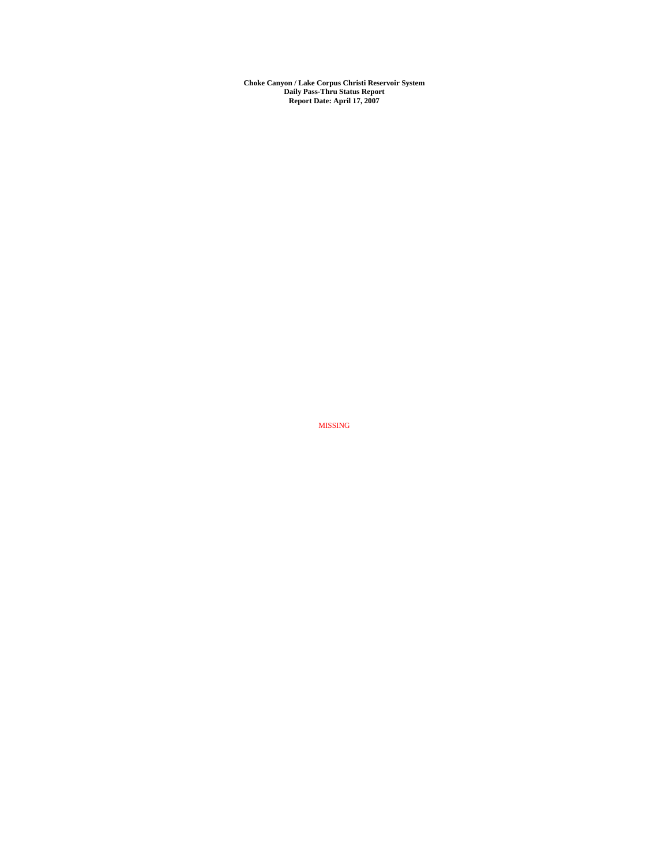**Choke Canyon / Lake Corpus Christi Reservoir System Daily Pass-Thru Status Report Report Date: April 17, 2007** 

MISSING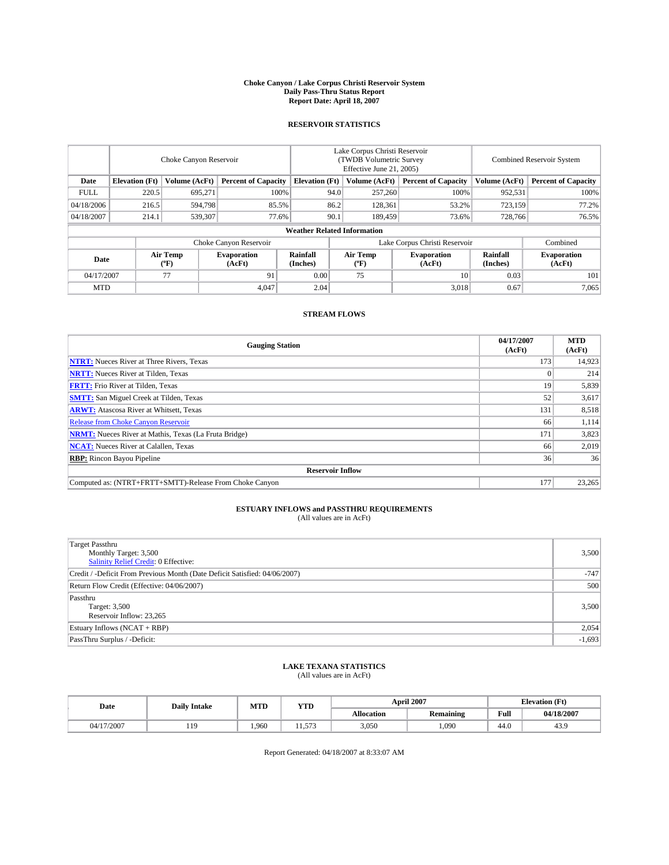### **Choke Canyon / Lake Corpus Christi Reservoir System Daily Pass-Thru Status Report Report Date: April 18, 2007**

### **RESERVOIR STATISTICS**

|             | Choke Canyon Reservoir             |                  |                              |                       | Lake Corpus Christi Reservoir<br>(TWDB Volumetric Survey<br>Effective June 21, 2005) |                  |                               |                      | Combined Reservoir System    |  |  |
|-------------|------------------------------------|------------------|------------------------------|-----------------------|--------------------------------------------------------------------------------------|------------------|-------------------------------|----------------------|------------------------------|--|--|
| Date        | <b>Elevation</b> (Ft)              | Volume (AcFt)    | <b>Percent of Capacity</b>   | <b>Elevation</b> (Ft) |                                                                                      | Volume (AcFt)    | <b>Percent of Capacity</b>    | Volume (AcFt)        | <b>Percent of Capacity</b>   |  |  |
| <b>FULL</b> | 220.5                              | 695.271          | 100%                         |                       | 94.0                                                                                 | 257,260          | 100%                          | 952,531              | 100%                         |  |  |
| 04/18/2006  | 216.5                              | 594,798          | 85.5%                        |                       | 86.2                                                                                 | 128,361          | 53.2%                         | 723,159              | 77.2%                        |  |  |
| 04/18/2007  | 214.1                              | 539,307          | 77.6%                        |                       | 90.1                                                                                 | 189,459          | 73.6%                         | 728,766              | 76.5%                        |  |  |
|             | <b>Weather Related Information</b> |                  |                              |                       |                                                                                      |                  |                               |                      |                              |  |  |
|             |                                    |                  | Choke Canyon Reservoir       |                       |                                                                                      |                  | Lake Corpus Christi Reservoir |                      | Combined                     |  |  |
| Date        |                                    | Air Temp<br>(°F) | <b>Evaporation</b><br>(AcFt) | Rainfall<br>(Inches)  |                                                                                      | Air Temp<br>("F) | <b>Evaporation</b><br>(AcFt)  | Rainfall<br>(Inches) | <b>Evaporation</b><br>(AcFt) |  |  |
| 04/17/2007  |                                    | 77               | 91                           | 0.00                  |                                                                                      | 75               | 10                            | 0.03                 | 101                          |  |  |
| <b>MTD</b>  |                                    |                  | 4.047                        | 2.04                  |                                                                                      |                  | 3,018                         | 0.67                 | 7,065                        |  |  |

## **STREAM FLOWS**

| <b>Gauging Station</b>                                       | 04/17/2007<br>(AcFt) | <b>MTD</b><br>(AcFt) |
|--------------------------------------------------------------|----------------------|----------------------|
| <b>NTRT:</b> Nueces River at Three Rivers, Texas             | 173                  | 14,923               |
| <b>NRTT:</b> Nueces River at Tilden, Texas                   |                      | 214                  |
| <b>FRTT:</b> Frio River at Tilden, Texas                     | 19                   | 5,839                |
| <b>SMTT:</b> San Miguel Creek at Tilden, Texas               | 52                   | 3,617                |
| <b>ARWT:</b> Atascosa River at Whitsett, Texas               | 131                  | 8,518                |
| <b>Release from Choke Canyon Reservoir</b>                   | 66                   | 1,114                |
| <b>NRMT:</b> Nueces River at Mathis, Texas (La Fruta Bridge) | 171                  | 3,823                |
| <b>NCAT:</b> Nueces River at Calallen, Texas                 | 66                   | 2,019                |
| <b>RBP:</b> Rincon Bayou Pipeline                            | 36                   | 36                   |
| <b>Reservoir Inflow</b>                                      |                      |                      |
| Computed as: (NTRT+FRTT+SMTT)-Release From Choke Canyon      | 177                  | 23,265               |

# **ESTUARY INFLOWS and PASSTHRU REQUIREMENTS**<br>(All values are in AcFt)

| <b>Target Passthru</b><br>Monthly Target: 3,500<br>Salinity Relief Credit: 0 Effective: | 3,500    |
|-----------------------------------------------------------------------------------------|----------|
| Credit / -Deficit From Previous Month (Date Deficit Satisfied: 04/06/2007)              | $-747$   |
| Return Flow Credit (Effective: 04/06/2007)                                              | 500      |
| Passthru<br>Target: 3,500<br>Reservoir Inflow: 23,265                                   | 3,500    |
| Estuary Inflows (NCAT + RBP)                                                            | 2,054    |
| PassThru Surplus / -Deficit:                                                            | $-1,693$ |

## **LAKE TEXANA STATISTICS** (All values are in AcFt)

| Date       | <b>Daily Intake</b> | MTD   | <b>YTD</b> |                   | <b>April 2007</b> |      | <b>Elevation</b> (Ft) |
|------------|---------------------|-------|------------|-------------------|-------------------|------|-----------------------|
|            |                     |       |            | <b>Allocation</b> | <b>Remaining</b>  | Full | 04/18/2007            |
| 04/17/2007 | 1Q<br>              | 1.960 | 572<br>.   | 3,050             | .090              | 44.0 | 43.9                  |

Report Generated: 04/18/2007 at 8:33:07 AM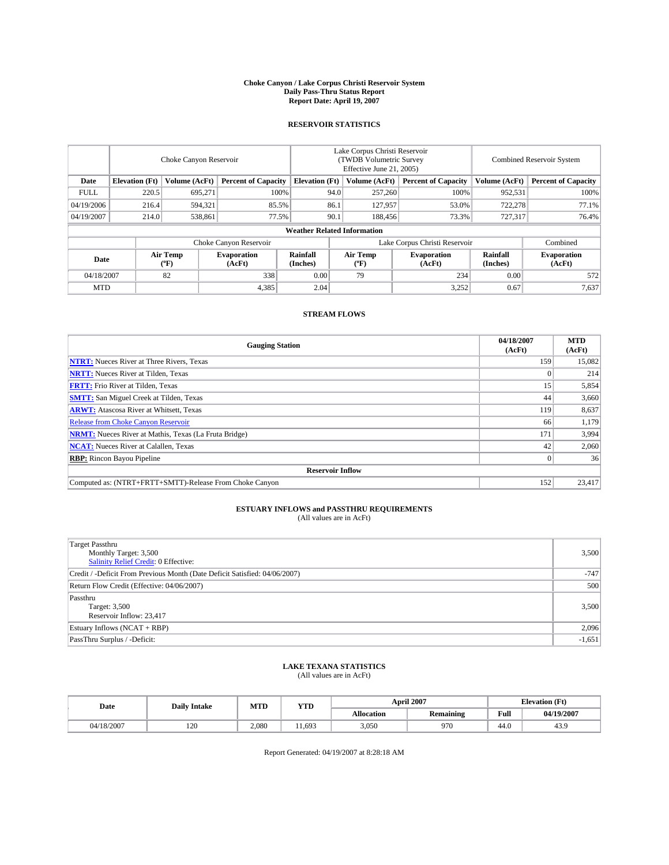### **Choke Canyon / Lake Corpus Christi Reservoir System Daily Pass-Thru Status Report Report Date: April 19, 2007**

### **RESERVOIR STATISTICS**

|             | Choke Canyon Reservoir             |                  |                              |                       | Lake Corpus Christi Reservoir<br>(TWDB Volumetric Survey<br>Effective June 21, 2005) |                  |                               |                      | Combined Reservoir System    |  |  |
|-------------|------------------------------------|------------------|------------------------------|-----------------------|--------------------------------------------------------------------------------------|------------------|-------------------------------|----------------------|------------------------------|--|--|
| Date        | <b>Elevation</b> (Ft)              | Volume (AcFt)    | <b>Percent of Capacity</b>   | <b>Elevation</b> (Ft) |                                                                                      | Volume (AcFt)    | <b>Percent of Capacity</b>    | Volume (AcFt)        | <b>Percent of Capacity</b>   |  |  |
| <b>FULL</b> | 220.5                              | 695.271          |                              | 100%                  | 94.0                                                                                 | 257,260          | 100%                          | 952,531              | 100%                         |  |  |
| 04/19/2006  | 216.4                              | 594,321          | 85.5%                        |                       | 86.1                                                                                 | 127,957          | 53.0%                         | 722,278              | 77.1%                        |  |  |
| 04/19/2007  | 214.0                              | 538,861          | 77.5%                        |                       | 90.1                                                                                 | 188,456          | 73.3%                         | 727,317              | 76.4%                        |  |  |
|             | <b>Weather Related Information</b> |                  |                              |                       |                                                                                      |                  |                               |                      |                              |  |  |
|             |                                    |                  | Choke Canyon Reservoir       |                       |                                                                                      |                  | Lake Corpus Christi Reservoir |                      | Combined                     |  |  |
| Date        |                                    | Air Temp<br>(°F) | <b>Evaporation</b><br>(AcFt) | Rainfall<br>(Inches)  |                                                                                      | Air Temp<br>("F) | <b>Evaporation</b><br>(AcFt)  | Rainfall<br>(Inches) | <b>Evaporation</b><br>(AcFt) |  |  |
| 04/18/2007  |                                    | 82               | 338                          | 0.00                  |                                                                                      | 79               | 234                           | 0.00                 | 572                          |  |  |
| <b>MTD</b>  |                                    |                  | 4,385                        | 2.04                  |                                                                                      |                  | 3,252                         | 0.67                 | 7,637                        |  |  |

### **STREAM FLOWS**

| <b>Gauging Station</b>                                       | 04/18/2007<br>(AcFt) | <b>MTD</b><br>(AcFt) |
|--------------------------------------------------------------|----------------------|----------------------|
| <b>NTRT:</b> Nueces River at Three Rivers, Texas             | 159                  | 15,082               |
| <b>NRTT:</b> Nueces River at Tilden, Texas                   |                      | 214                  |
| <b>FRTT:</b> Frio River at Tilden, Texas                     | 15                   | 5,854                |
| <b>SMTT:</b> San Miguel Creek at Tilden, Texas               | 44                   | 3,660                |
| <b>ARWT:</b> Atascosa River at Whitsett, Texas               | 119                  | 8,637                |
| <b>Release from Choke Canyon Reservoir</b>                   | 66                   | 1,179                |
| <b>NRMT:</b> Nueces River at Mathis, Texas (La Fruta Bridge) | 171                  | 3,994                |
| <b>NCAT:</b> Nueces River at Calallen, Texas                 | 42                   | 2,060                |
| <b>RBP:</b> Rincon Bayou Pipeline                            |                      | 36                   |
| <b>Reservoir Inflow</b>                                      |                      |                      |
| Computed as: (NTRT+FRTT+SMTT)-Release From Choke Canyon      | 152                  | 23,417               |

# **ESTUARY INFLOWS and PASSTHRU REQUIREMENTS**<br>(All values are in AcFt)

| Target Passthru<br>Monthly Target: 3,500<br>Salinity Relief Credit: 0 Effective: | 3,500    |
|----------------------------------------------------------------------------------|----------|
| Credit / -Deficit From Previous Month (Date Deficit Satisfied: 04/06/2007)       | $-747$   |
| Return Flow Credit (Effective: 04/06/2007)                                       | 500      |
| Passthru<br>Target: 3,500<br>Reservoir Inflow: 23,417                            | 3,500    |
| Estuary Inflows (NCAT + RBP)                                                     | 2,096    |
| PassThru Surplus / -Deficit:                                                     | $-1,651$ |

## **LAKE TEXANA STATISTICS** (All values are in AcFt)

| Date       | <b>Daily Intake</b> | MTD   | <b>YTD</b> |                   | <b>April 2007</b> | <b>Elevation (Ft)</b> |            |
|------------|---------------------|-------|------------|-------------------|-------------------|-----------------------|------------|
|            |                     |       |            | <b>Allocation</b> | <b>Remaining</b>  | Full                  | 04/19/2007 |
| 04/18/2007 | 120                 | 2.080 | 1.693      | 3.050             | 970               | 44.0                  | 43.9       |

Report Generated: 04/19/2007 at 8:28:18 AM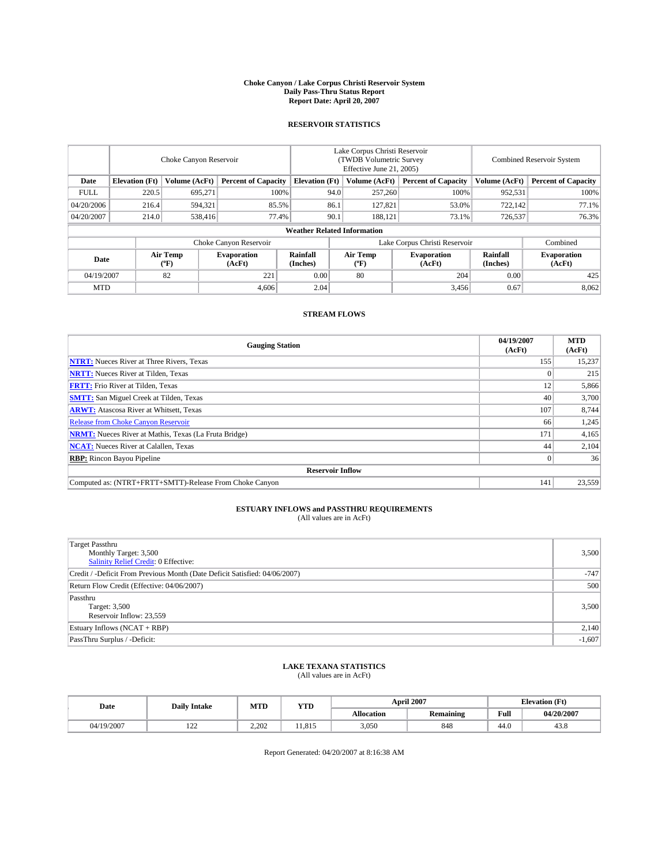### **Choke Canyon / Lake Corpus Christi Reservoir System Daily Pass-Thru Status Report Report Date: April 20, 2007**

### **RESERVOIR STATISTICS**

|             | Choke Canyon Reservoir             |                  |                              |                       | Lake Corpus Christi Reservoir<br>(TWDB Volumetric Survey<br>Effective June 21, 2005) |                  |                               |                      | Combined Reservoir System    |  |  |
|-------------|------------------------------------|------------------|------------------------------|-----------------------|--------------------------------------------------------------------------------------|------------------|-------------------------------|----------------------|------------------------------|--|--|
| Date        | <b>Elevation</b> (Ft)              | Volume (AcFt)    | <b>Percent of Capacity</b>   | <b>Elevation</b> (Ft) |                                                                                      | Volume (AcFt)    | <b>Percent of Capacity</b>    | Volume (AcFt)        | <b>Percent of Capacity</b>   |  |  |
| <b>FULL</b> | 220.5                              | 695.271          |                              | 100%                  | 94.0                                                                                 | 257,260          | 100%                          | 952,531              | 100%                         |  |  |
| 04/20/2006  | 216.4                              | 594,321          | 85.5%                        |                       | 86.1                                                                                 | 127,821          | 53.0%                         | 722,142              | 77.1%                        |  |  |
| 04/20/2007  | 214.0                              | 538,416          | 77.4%                        |                       | 90.1                                                                                 | 188.121          | 73.1%                         | 726,537              | 76.3%                        |  |  |
|             | <b>Weather Related Information</b> |                  |                              |                       |                                                                                      |                  |                               |                      |                              |  |  |
|             |                                    |                  | Choke Canyon Reservoir       |                       |                                                                                      |                  | Lake Corpus Christi Reservoir |                      | Combined                     |  |  |
| Date        |                                    | Air Temp<br>(°F) | <b>Evaporation</b><br>(AcFt) | Rainfall<br>(Inches)  |                                                                                      | Air Temp<br>("F) | <b>Evaporation</b><br>(AcFt)  | Rainfall<br>(Inches) | <b>Evaporation</b><br>(AcFt) |  |  |
| 04/19/2007  |                                    | 82               | 221                          | 0.00                  |                                                                                      | 80               | 204                           | 0.00                 | 425                          |  |  |
| <b>MTD</b>  |                                    |                  | 4,606                        | 2.04                  |                                                                                      |                  | 3,456                         | 0.67                 | 8,062                        |  |  |

### **STREAM FLOWS**

| <b>Gauging Station</b>                                       | 04/19/2007<br>(AcFt) | <b>MTD</b><br>(AcFt) |
|--------------------------------------------------------------|----------------------|----------------------|
| <b>NTRT:</b> Nueces River at Three Rivers, Texas             | 155                  | 15,237               |
| <b>NRTT:</b> Nueces River at Tilden, Texas                   |                      | 215                  |
| <b>FRTT:</b> Frio River at Tilden, Texas                     | 12                   | 5,866                |
| <b>SMTT:</b> San Miguel Creek at Tilden, Texas               | 40                   | 3,700                |
| <b>ARWT:</b> Atascosa River at Whitsett, Texas               | 107                  | 8,744                |
| <b>Release from Choke Canyon Reservoir</b>                   | 66                   | 1,245                |
| <b>NRMT:</b> Nueces River at Mathis, Texas (La Fruta Bridge) | 171                  | 4,165                |
| <b>NCAT:</b> Nueces River at Calallen, Texas                 | 44                   | 2,104                |
| <b>RBP:</b> Rincon Bayou Pipeline                            |                      | 36                   |
| <b>Reservoir Inflow</b>                                      |                      |                      |
| Computed as: (NTRT+FRTT+SMTT)-Release From Choke Canyon      | 141                  | 23,559               |

## **ESTUARY INFLOWS and PASSTHRU REQUIREMENTS**<br>(All values are in AcFt)

| <b>Target Passthru</b><br>Monthly Target: 3,500<br>Salinity Relief Credit: 0 Effective: | 3,500    |
|-----------------------------------------------------------------------------------------|----------|
| Credit / -Deficit From Previous Month (Date Deficit Satisfied: 04/06/2007)              | $-747$   |
| Return Flow Credit (Effective: 04/06/2007)                                              | 500      |
| Passthru<br>Target: 3,500<br>Reservoir Inflow: 23,559                                   | 3,500    |
| Estuary Inflows (NCAT + RBP)                                                            | 2,140    |
| PassThru Surplus / -Deficit:                                                            | $-1,607$ |

## **LAKE TEXANA STATISTICS** (All values are in AcFt)

| Date       | <b>Daily Intake</b> | MTD   | <b>YTD</b> |                   | <b>April 2007</b> | <b>Elevation (Ft)</b> |            |
|------------|---------------------|-------|------------|-------------------|-------------------|-----------------------|------------|
|            |                     |       |            | <b>Allocation</b> | <b>Remaining</b>  | Full                  | 04/20/2007 |
| 04/19/2007 | $\sim$<br>$-1$      | 2.202 | 11.815     | 3,050             | 848               | 44.0                  | 43.8       |

Report Generated: 04/20/2007 at 8:16:38 AM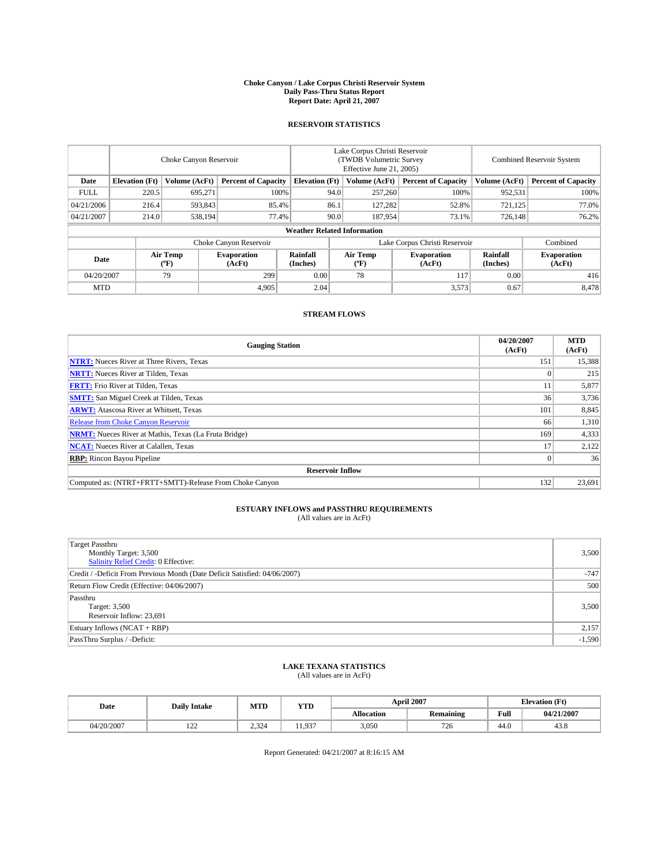### **Choke Canyon / Lake Corpus Christi Reservoir System Daily Pass-Thru Status Report Report Date: April 21, 2007**

### **RESERVOIR STATISTICS**

|             | Choke Canyon Reservoir             |                         |                              |                       | Lake Corpus Christi Reservoir<br>(TWDB Volumetric Survey<br>Effective June 21, 2005) |                  |                               |                      | <b>Combined Reservoir System</b> |  |  |
|-------------|------------------------------------|-------------------------|------------------------------|-----------------------|--------------------------------------------------------------------------------------|------------------|-------------------------------|----------------------|----------------------------------|--|--|
| Date        | <b>Elevation</b> (Ft)              | Volume (AcFt)           | <b>Percent of Capacity</b>   | <b>Elevation</b> (Ft) |                                                                                      | Volume (AcFt)    | <b>Percent of Capacity</b>    | Volume (AcFt)        | <b>Percent of Capacity</b>       |  |  |
| <b>FULL</b> | 220.5                              | 695,271                 | 100%                         |                       | 94.0                                                                                 | 257,260          | 100%                          | 952,531              | 100%                             |  |  |
| 04/21/2006  | 216.4                              | 593,843                 | 85.4%                        |                       | 86.1                                                                                 | 127,282          | 52.8%                         | 721,125              | 77.0%                            |  |  |
| 04/21/2007  | 214.0                              | 538,194                 | 77.4%                        |                       | 90.0                                                                                 | 187,954          | 73.1%                         | 726,148              | 76.2%                            |  |  |
|             | <b>Weather Related Information</b> |                         |                              |                       |                                                                                      |                  |                               |                      |                                  |  |  |
|             |                                    |                         | Choke Canyon Reservoir       |                       |                                                                                      |                  | Lake Corpus Christi Reservoir |                      | Combined                         |  |  |
| Date        |                                    | <b>Air Temp</b><br>(°F) | <b>Evaporation</b><br>(AcFt) | Rainfall<br>(Inches)  |                                                                                      | Air Temp<br>("F) | <b>Evaporation</b><br>(AcFt)  | Rainfall<br>(Inches) | <b>Evaporation</b><br>(AcFt)     |  |  |
| 04/20/2007  |                                    | 79                      | 299                          | 0.00                  |                                                                                      | 78               | 117                           | 0.00                 | 416                              |  |  |
| <b>MTD</b>  |                                    |                         | 4,905                        | 2.04                  |                                                                                      |                  | 3,573                         | 0.67                 | 8,478                            |  |  |

### **STREAM FLOWS**

| <b>Gauging Station</b>                                       | 04/20/2007<br>(AcFt) | <b>MTD</b><br>(AcFt) |
|--------------------------------------------------------------|----------------------|----------------------|
| <b>NTRT:</b> Nueces River at Three Rivers, Texas             | 151                  | 15,388               |
| <b>NRTT:</b> Nueces River at Tilden, Texas                   |                      | 215                  |
| <b>FRTT:</b> Frio River at Tilden, Texas                     | 11                   | 5,877                |
| <b>SMTT:</b> San Miguel Creek at Tilden, Texas               | 36                   | 3,736                |
| <b>ARWT:</b> Atascosa River at Whitsett, Texas               | 101                  | 8,845                |
| <b>Release from Choke Canyon Reservoir</b>                   | 66                   | 1,310                |
| <b>NRMT:</b> Nueces River at Mathis, Texas (La Fruta Bridge) | 169                  | 4,333                |
| <b>NCAT:</b> Nueces River at Calallen, Texas                 |                      | 2,122                |
| <b>RBP:</b> Rincon Bayou Pipeline                            |                      | 36                   |
| <b>Reservoir Inflow</b>                                      |                      |                      |
| Computed as: (NTRT+FRTT+SMTT)-Release From Choke Canyon      | 132                  | 23,691               |

# **ESTUARY INFLOWS and PASSTHRU REQUIREMENTS**<br>(All values are in AcFt)

| <b>Target Passthru</b><br>Monthly Target: 3,500<br>Salinity Relief Credit: 0 Effective: | 3,500    |
|-----------------------------------------------------------------------------------------|----------|
| Credit / -Deficit From Previous Month (Date Deficit Satisfied: 04/06/2007)              | $-747$   |
| Return Flow Credit (Effective: 04/06/2007)                                              | 500      |
| Passthru<br>Target: 3,500<br>Reservoir Inflow: 23,691                                   | 3,500    |
| Estuary Inflows (NCAT + RBP)                                                            | 2,157    |
| PassThru Surplus / -Deficit:                                                            | $-1,590$ |

## **LAKE TEXANA STATISTICS** (All values are in AcFt)

| Date       | <b>Daily Intake</b> | MTD   | <b>YTD</b>           |                   | <b>April 2007</b> | <b>Elevation</b> (Ft) |            |
|------------|---------------------|-------|----------------------|-------------------|-------------------|-----------------------|------------|
|            |                     |       |                      | <b>Allocation</b> | <b>Remaining</b>  | Full                  | 04/21/2007 |
| 04/20/2007 | $\sim$<br>$-1$      | 2.324 | 0 <sub>37</sub><br>. | 3,050             | 726               | 44.0                  | 43.8       |

Report Generated: 04/21/2007 at 8:16:15 AM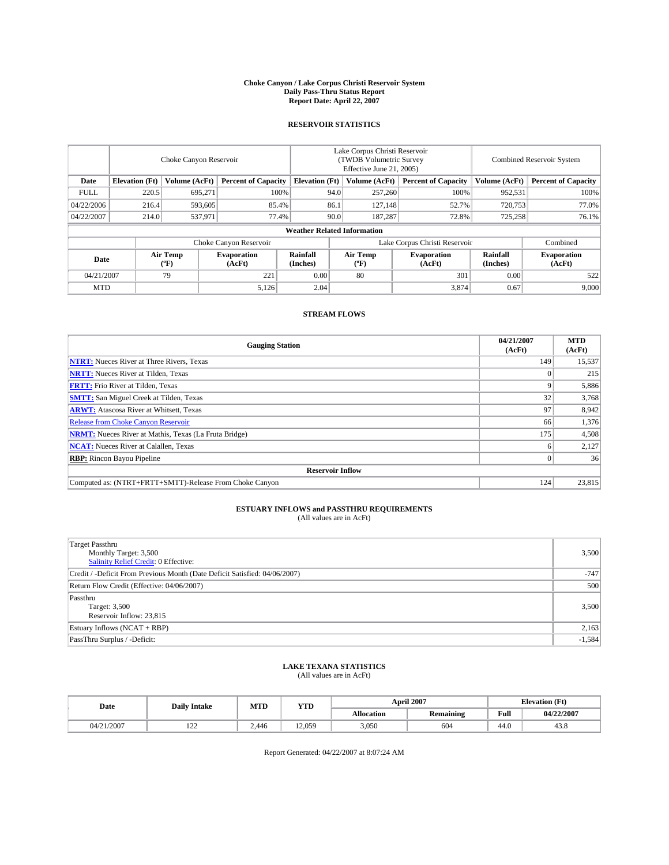### **Choke Canyon / Lake Corpus Christi Reservoir System Daily Pass-Thru Status Report Report Date: April 22, 2007**

### **RESERVOIR STATISTICS**

|             | Choke Canyon Reservoir             |                  |                              |                      | Lake Corpus Christi Reservoir<br>(TWDB Volumetric Survey<br>Effective June 21, 2005) |                  |                               | Combined Reservoir System |                              |  |
|-------------|------------------------------------|------------------|------------------------------|----------------------|--------------------------------------------------------------------------------------|------------------|-------------------------------|---------------------------|------------------------------|--|
| Date        | <b>Elevation</b> (Ft)              | Volume (AcFt)    | <b>Percent of Capacity</b>   |                      | <b>Elevation</b> (Ft)<br>Volume (AcFt)                                               |                  | <b>Percent of Capacity</b>    | Volume (AcFt)             | <b>Percent of Capacity</b>   |  |
| <b>FULL</b> | 220.5                              | 695,271          | 100%                         |                      | 94.0                                                                                 | 257,260          | 100%                          | 952,531                   | 100%                         |  |
| 04/22/2006  | 216.4                              | 593,605          | 85.4%                        |                      | 86.1                                                                                 | 127,148          | 52.7%                         | 720,753                   | 77.0%                        |  |
| 04/22/2007  | 214.0                              | 537,971          | 77.4%                        |                      | 90.0                                                                                 | 187.287          | 72.8%                         | 725,258                   | 76.1%                        |  |
|             | <b>Weather Related Information</b> |                  |                              |                      |                                                                                      |                  |                               |                           |                              |  |
|             |                                    |                  | Choke Canyon Reservoir       |                      |                                                                                      |                  | Lake Corpus Christi Reservoir |                           | Combined                     |  |
| Date        |                                    | Air Temp<br>(°F) | <b>Evaporation</b><br>(AcFt) | Rainfall<br>(Inches) |                                                                                      | Air Temp<br>("F) | <b>Evaporation</b><br>(AcFt)  | Rainfall<br>(Inches)      | <b>Evaporation</b><br>(AcFt) |  |
| 04/21/2007  |                                    | 79               | 221                          | 0.00                 |                                                                                      | 80               | 301                           | 0.00                      | 522                          |  |
| <b>MTD</b>  |                                    |                  | 5,126                        | 2.04                 |                                                                                      |                  | 3,874                         | 0.67                      | 9,000                        |  |

### **STREAM FLOWS**

| <b>Gauging Station</b>                                       | 04/21/2007<br>(AcFt) | <b>MTD</b><br>(AcFt) |
|--------------------------------------------------------------|----------------------|----------------------|
| <b>NTRT:</b> Nueces River at Three Rivers, Texas             | 149                  | 15,537               |
| <b>NRTT:</b> Nueces River at Tilden, Texas                   |                      | 215                  |
| <b>FRTT:</b> Frio River at Tilden, Texas                     |                      | 5,886                |
| <b>SMTT:</b> San Miguel Creek at Tilden, Texas               | 32                   | 3,768                |
| <b>ARWT:</b> Atascosa River at Whitsett, Texas               | 97                   | 8,942                |
| <b>Release from Choke Canyon Reservoir</b>                   | 66                   | 1,376                |
| <b>NRMT:</b> Nueces River at Mathis, Texas (La Fruta Bridge) | 175                  | 4,508                |
| <b>NCAT:</b> Nueces River at Calallen, Texas                 |                      | 2,127                |
| <b>RBP:</b> Rincon Bayou Pipeline                            |                      | 36                   |
| <b>Reservoir Inflow</b>                                      |                      |                      |
| Computed as: (NTRT+FRTT+SMTT)-Release From Choke Canyon      | 124                  | 23,815               |

# **ESTUARY INFLOWS and PASSTHRU REQUIREMENTS**<br>(All values are in AcFt)

| <b>Target Passthru</b><br>Monthly Target: 3,500<br>Salinity Relief Credit: 0 Effective: | 3,500    |
|-----------------------------------------------------------------------------------------|----------|
| Credit / -Deficit From Previous Month (Date Deficit Satisfied: 04/06/2007)              | $-747$   |
| Return Flow Credit (Effective: 04/06/2007)                                              | 500      |
| Passthru<br>Target: 3,500<br>Reservoir Inflow: 23,815                                   | 3,500    |
| Estuary Inflows (NCAT + RBP)                                                            | 2,163    |
| PassThru Surplus / -Deficit:                                                            | $-1,584$ |

## **LAKE TEXANA STATISTICS** (All values are in AcFt)

| Date       | <b>Daily Intake</b> | MTD   | <b>YTD</b> |                   | <b>April 2007</b> | <b>Elevation</b> (Ft) |            |
|------------|---------------------|-------|------------|-------------------|-------------------|-----------------------|------------|
|            |                     |       |            | <b>Allocation</b> | <b>Remaining</b>  | Full                  | 04/22/2007 |
| 04/21/2007 | $\sim$<br>$-1$      | 2.446 | 12.059     | 3,050             | 604               | 44.0                  | 43.8       |

Report Generated: 04/22/2007 at 8:07:24 AM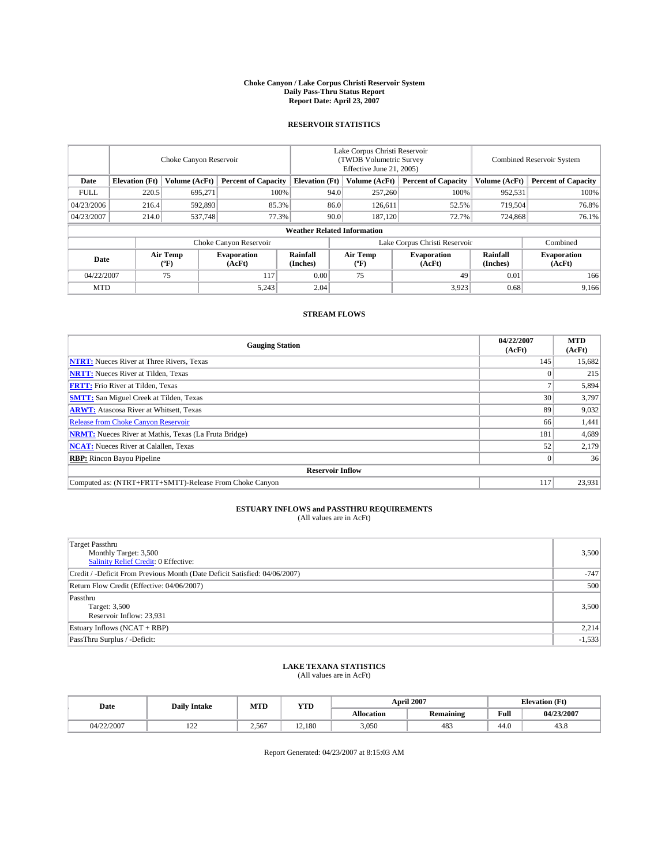### **Choke Canyon / Lake Corpus Christi Reservoir System Daily Pass-Thru Status Report Report Date: April 23, 2007**

### **RESERVOIR STATISTICS**

|             | Choke Canyon Reservoir             |                  |                              |                       | Lake Corpus Christi Reservoir<br>(TWDB Volumetric Survey<br>Effective June 21, 2005) |                               |                              | Combined Reservoir System |                              |  |
|-------------|------------------------------------|------------------|------------------------------|-----------------------|--------------------------------------------------------------------------------------|-------------------------------|------------------------------|---------------------------|------------------------------|--|
| Date        | <b>Elevation</b> (Ft)              | Volume (AcFt)    | <b>Percent of Capacity</b>   | <b>Elevation</b> (Ft) |                                                                                      | Volume (AcFt)                 | <b>Percent of Capacity</b>   | Volume (AcFt)             | <b>Percent of Capacity</b>   |  |
| <b>FULL</b> | 220.5                              | 695,271          | 100%                         |                       | 94.0                                                                                 | 257,260                       | 100%                         | 952,531                   | 100%                         |  |
| 04/23/2006  | 216.4                              | 592,893          | 85.3%                        |                       | 86.0                                                                                 | 126,611                       | 52.5%                        | 719,504                   | 76.8%                        |  |
| 04/23/2007  | 214.0                              | 537,748          | 77.3%                        |                       | 90.0                                                                                 | 187,120                       | 72.7%                        | 724,868                   | 76.1%                        |  |
|             | <b>Weather Related Information</b> |                  |                              |                       |                                                                                      |                               |                              |                           |                              |  |
|             |                                    |                  | Choke Canyon Reservoir       |                       |                                                                                      | Lake Corpus Christi Reservoir | Combined                     |                           |                              |  |
| Date        |                                    | Air Temp<br>(°F) | <b>Evaporation</b><br>(AcFt) | Rainfall<br>(Inches)  |                                                                                      | Air Temp<br>("F)              | <b>Evaporation</b><br>(AcFt) | Rainfall<br>(Inches)      | <b>Evaporation</b><br>(AcFt) |  |
| 04/22/2007  |                                    | 75               | 117                          | 0.00                  |                                                                                      | 75                            | 49                           | 0.01                      | 166                          |  |
| <b>MTD</b>  |                                    |                  | 5,243                        | 2.04                  |                                                                                      |                               | 3,923                        | 0.68                      | 9,166                        |  |

### **STREAM FLOWS**

| <b>Gauging Station</b>                                       | 04/22/2007<br>(AcFt) | <b>MTD</b><br>(AcFt) |
|--------------------------------------------------------------|----------------------|----------------------|
| <b>NTRT:</b> Nueces River at Three Rivers, Texas             | 145                  | 15,682               |
| <b>NRTT:</b> Nueces River at Tilden, Texas                   |                      | 215                  |
| <b>FRTT:</b> Frio River at Tilden, Texas                     |                      | 5,894                |
| <b>SMTT:</b> San Miguel Creek at Tilden, Texas               | 30                   | 3,797                |
| <b>ARWT:</b> Atascosa River at Whitsett, Texas               | 89                   | 9,032                |
| <b>Release from Choke Canyon Reservoir</b>                   | 66                   | 1,441                |
| <b>NRMT:</b> Nueces River at Mathis, Texas (La Fruta Bridge) | 181                  | 4,689                |
| <b>NCAT:</b> Nueces River at Calallen, Texas                 | 52                   | 2,179                |
| <b>RBP:</b> Rincon Bayou Pipeline                            |                      | 36                   |
| <b>Reservoir Inflow</b>                                      |                      |                      |
| Computed as: (NTRT+FRTT+SMTT)-Release From Choke Canyon      | 117                  | 23,931               |

# **ESTUARY INFLOWS and PASSTHRU REQUIREMENTS**<br>(All values are in AcFt)

| <b>Target Passthru</b><br>Monthly Target: 3,500<br>Salinity Relief Credit: 0 Effective: | 3,500    |
|-----------------------------------------------------------------------------------------|----------|
| Credit / -Deficit From Previous Month (Date Deficit Satisfied: 04/06/2007)              | $-747$   |
| Return Flow Credit (Effective: 04/06/2007)                                              | 500      |
| Passthru<br>Target: 3,500<br>Reservoir Inflow: 23,931                                   | 3,500    |
| Estuary Inflows (NCAT + RBP)                                                            | 2,214    |
| PassThru Surplus / -Deficit:                                                            | $-1,533$ |

## **LAKE TEXANA STATISTICS** (All values are in AcFt)

| Date       | <b>Daily Intake</b> | MTD   | <b>YTD</b> |                   | <b>April 2007</b> | <b>Elevation</b> (Ft) |            |
|------------|---------------------|-------|------------|-------------------|-------------------|-----------------------|------------|
|            |                     |       |            | <b>Allocation</b> | <b>Remaining</b>  | Full                  | 04/23/2007 |
| 04/22/2007 | $\sim$<br>--        | 2,567 | 12.180     | 3,050             | 483               | 44.0                  | 43.8       |

Report Generated: 04/23/2007 at 8:15:03 AM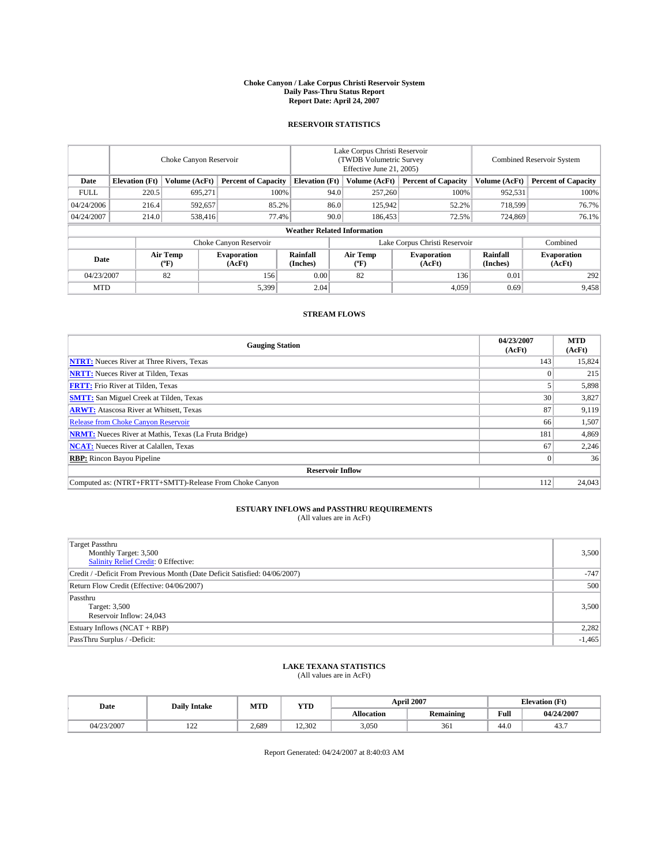### **Choke Canyon / Lake Corpus Christi Reservoir System Daily Pass-Thru Status Report Report Date: April 24, 2007**

### **RESERVOIR STATISTICS**

|             | Choke Canyon Reservoir |                  |                              |                                    | Lake Corpus Christi Reservoir<br>(TWDB Volumetric Survey<br>Effective June 21, 2005) |                  |                               | Combined Reservoir System |                              |  |
|-------------|------------------------|------------------|------------------------------|------------------------------------|--------------------------------------------------------------------------------------|------------------|-------------------------------|---------------------------|------------------------------|--|
| Date        | <b>Elevation</b> (Ft)  | Volume (AcFt)    | <b>Percent of Capacity</b>   | <b>Elevation</b> (Ft)              |                                                                                      | Volume (AcFt)    | <b>Percent of Capacity</b>    | Volume (AcFt)             | <b>Percent of Capacity</b>   |  |
| <b>FULL</b> | 220.5                  | 695,271          | 100%                         |                                    | 94.0                                                                                 | 257,260          | 100%                          | 952,531                   | 100%                         |  |
| 04/24/2006  | 216.4                  | 592,657          | 85.2%                        |                                    | 86.0                                                                                 | 125,942          | 52.2%                         | 718,599                   | 76.7%                        |  |
| 04/24/2007  | 214.0                  | 538,416          | 77.4%                        |                                    | 90.0                                                                                 | 186,453          | 72.5%                         | 724,869                   | 76.1%                        |  |
|             |                        |                  |                              | <b>Weather Related Information</b> |                                                                                      |                  |                               |                           |                              |  |
|             |                        |                  | Choke Canyon Reservoir       |                                    |                                                                                      |                  | Lake Corpus Christi Reservoir |                           | Combined                     |  |
| Date        |                        | Air Temp<br>(°F) | <b>Evaporation</b><br>(AcFt) | Rainfall<br>(Inches)               |                                                                                      | Air Temp<br>("F) | <b>Evaporation</b><br>(AcFt)  | Rainfall<br>(Inches)      | <b>Evaporation</b><br>(AcFt) |  |
| 04/23/2007  |                        | 82               | 156                          | 0.00                               |                                                                                      | 82               | 136                           | 0.01                      | 292                          |  |
| <b>MTD</b>  |                        |                  | 5,399                        | 2.04                               |                                                                                      |                  | 4,059                         | 0.69                      | 9,458                        |  |

### **STREAM FLOWS**

| <b>Gauging Station</b>                                       | 04/23/2007<br>(AcFt) | <b>MTD</b><br>(AcFt) |
|--------------------------------------------------------------|----------------------|----------------------|
| <b>NTRT:</b> Nueces River at Three Rivers, Texas             | 143                  | 15,824               |
| <b>NRTT:</b> Nueces River at Tilden, Texas                   |                      | 215                  |
| <b>FRTT:</b> Frio River at Tilden, Texas                     |                      | 5,898                |
| <b>SMTT:</b> San Miguel Creek at Tilden, Texas               | 30                   | 3,827                |
| <b>ARWT:</b> Atascosa River at Whitsett, Texas               | 87                   | 9,119                |
| <b>Release from Choke Canyon Reservoir</b>                   | 66                   | 1,507                |
| <b>NRMT:</b> Nueces River at Mathis, Texas (La Fruta Bridge) | 181                  | 4,869                |
| <b>NCAT:</b> Nueces River at Calallen, Texas                 | 67                   | 2,246                |
| <b>RBP:</b> Rincon Bayou Pipeline                            |                      | 36                   |
| <b>Reservoir Inflow</b>                                      |                      |                      |
| Computed as: (NTRT+FRTT+SMTT)-Release From Choke Canyon      | 112                  | 24,043               |

# **ESTUARY INFLOWS and PASSTHRU REQUIREMENTS**<br>(All values are in AcFt)

| Target Passthru<br>Monthly Target: 3,500<br>Salinity Relief Credit: 0 Effective: | 3,500    |
|----------------------------------------------------------------------------------|----------|
| Credit / -Deficit From Previous Month (Date Deficit Satisfied: 04/06/2007)       | $-747$   |
| Return Flow Credit (Effective: 04/06/2007)                                       | 500      |
| Passthru<br>Target: 3,500<br>Reservoir Inflow: 24,043                            | 3,500    |
| Estuary Inflows (NCAT + RBP)                                                     | 2,282    |
| PassThru Surplus / -Deficit:                                                     | $-1,465$ |

## **LAKE TEXANA STATISTICS** (All values are in AcFt)

| Date       | <b>Daily Intake</b> | MTD   | <b>YTD</b> |                   | <b>April 2007</b> | <b>Elevation</b> (Ft) |            |
|------------|---------------------|-------|------------|-------------------|-------------------|-----------------------|------------|
|            |                     |       |            | <b>Allocation</b> | <b>Remaining</b>  | Full                  | 04/24/2007 |
| 04/23/2007 | $\sim$<br>--        | 2.689 | 12.302     | 3.050             | 361               | 44.0                  | ٠.         |

Report Generated: 04/24/2007 at 8:40:03 AM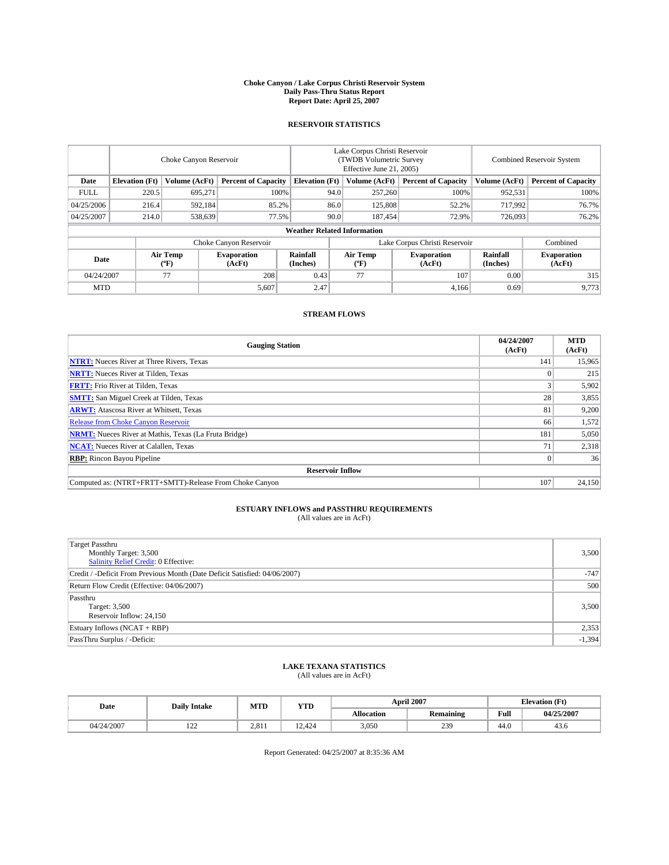### **Choke Canyon / Lake Corpus Christi Reservoir System Daily Pass-Thru Status Report Report Date: April 25, 2007**

### **RESERVOIR STATISTICS**

|             | Choke Canyon Reservoir             |                  |                              |                       | Lake Corpus Christi Reservoir<br>(TWDB Volumetric Survey<br>Effective June 21, 2005) |                  |                               |                      | Combined Reservoir System    |  |  |
|-------------|------------------------------------|------------------|------------------------------|-----------------------|--------------------------------------------------------------------------------------|------------------|-------------------------------|----------------------|------------------------------|--|--|
| Date        | <b>Elevation</b> (Ft)              | Volume (AcFt)    | <b>Percent of Capacity</b>   | <b>Elevation</b> (Ft) |                                                                                      | Volume (AcFt)    | <b>Percent of Capacity</b>    | Volume (AcFt)        | <b>Percent of Capacity</b>   |  |  |
| <b>FULL</b> | 220.5                              | 695,271          | 100%                         |                       | 94.0                                                                                 | 257,260          | 100%                          | 952,531              | 100%                         |  |  |
| 04/25/2006  | 216.4                              | 592,184          | 85.2%                        |                       | 86.0                                                                                 | 125,808          | 52.2%                         | 717,992              | 76.7%                        |  |  |
| 04/25/2007  | 214.0                              | 538,639          | 77.5%                        |                       | 90.0                                                                                 | 187,454          | 72.9%                         | 726,093              | 76.2%                        |  |  |
|             | <b>Weather Related Information</b> |                  |                              |                       |                                                                                      |                  |                               |                      |                              |  |  |
|             |                                    |                  | Choke Canyon Reservoir       |                       |                                                                                      |                  | Lake Corpus Christi Reservoir |                      | Combined                     |  |  |
| Date        |                                    | Air Temp<br>(°F) | <b>Evaporation</b><br>(AcFt) | Rainfall<br>(Inches)  |                                                                                      | Air Temp<br>("F) | <b>Evaporation</b><br>(AcFt)  | Rainfall<br>(Inches) | <b>Evaporation</b><br>(AcFt) |  |  |
| 04/24/2007  |                                    | 77               | 208                          | 0.43                  |                                                                                      | 77               | 107                           | 0.00                 | 315                          |  |  |
| <b>MTD</b>  |                                    |                  | 5,607                        | 2.47                  |                                                                                      |                  | 4,166                         | 0.69                 | 9,773                        |  |  |

### **STREAM FLOWS**

| <b>Gauging Station</b>                                       | 04/24/2007<br>(AcFt) | <b>MTD</b><br>(AcFt) |
|--------------------------------------------------------------|----------------------|----------------------|
| <b>NTRT:</b> Nueces River at Three Rivers, Texas             | 141                  | 15,965               |
| <b>NRTT:</b> Nueces River at Tilden, Texas                   |                      | 215                  |
| <b>FRTT:</b> Frio River at Tilden, Texas                     |                      | 5,902                |
| <b>SMTT:</b> San Miguel Creek at Tilden, Texas               | 28                   | 3,855                |
| <b>ARWT:</b> Atascosa River at Whitsett, Texas               | 81                   | 9,200                |
| <b>Release from Choke Canyon Reservoir</b>                   | 66                   | 1,572                |
| <b>NRMT:</b> Nueces River at Mathis, Texas (La Fruta Bridge) | 181                  | 5,050                |
| <b>NCAT:</b> Nueces River at Calallen, Texas                 | 71                   | 2,318                |
| <b>RBP:</b> Rincon Bayou Pipeline                            |                      | 36                   |
| <b>Reservoir Inflow</b>                                      |                      |                      |
| Computed as: (NTRT+FRTT+SMTT)-Release From Choke Canyon      | 107                  | 24,150               |

# **ESTUARY INFLOWS and PASSTHRU REQUIREMENTS**<br>(All values are in AcFt)

| <b>Target Passthru</b><br>Monthly Target: 3,500<br><b>Salinity Relief Credit: 0 Effective:</b> | 3,500    |
|------------------------------------------------------------------------------------------------|----------|
| Credit / -Deficit From Previous Month (Date Deficit Satisfied: 04/06/2007)                     | $-747$   |
| Return Flow Credit (Effective: 04/06/2007)                                                     | 500      |
| Passthru<br>Target: 3,500<br>Reservoir Inflow: 24,150                                          | 3,500    |
| Estuary Inflows (NCAT + RBP)                                                                   | 2,353    |
| PassThru Surplus / -Deficit:                                                                   | $-1,394$ |

## **LAKE TEXANA STATISTICS** (All values are in AcFt)

| Date       | <b>Daily Intake</b> | MTD   | <b>YTD</b> |                   | <b>April 2007</b> |      | <b>Elevation</b> (Ft) |  |
|------------|---------------------|-------|------------|-------------------|-------------------|------|-----------------------|--|
|            |                     |       |            | <b>Allocation</b> | <b>Remaining</b>  | Full | 04/25/2007            |  |
| 04/24/2007 | $\sim$<br>$-1$      | 2.811 | 12.424     | 3,050             | 239               | 44.0 | 43.0                  |  |

Report Generated: 04/25/2007 at 8:35:36 AM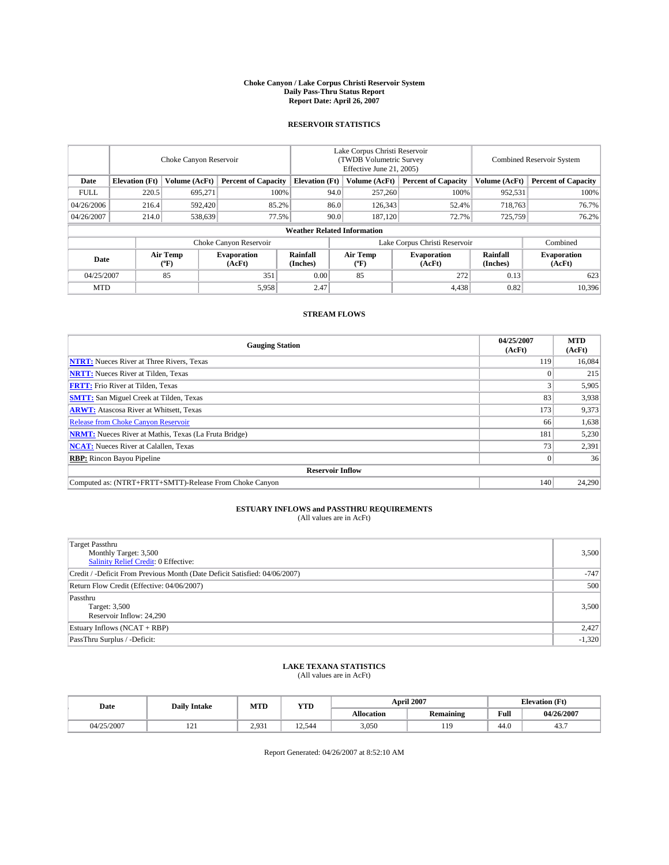### **Choke Canyon / Lake Corpus Christi Reservoir System Daily Pass-Thru Status Report Report Date: April 26, 2007**

### **RESERVOIR STATISTICS**

|                        | Choke Canyon Reservoir             |                  |                              |                       | Lake Corpus Christi Reservoir<br>(TWDB Volumetric Survey<br>Effective June 21, 2005) |                  |                               | Combined Reservoir System |                              |  |
|------------------------|------------------------------------|------------------|------------------------------|-----------------------|--------------------------------------------------------------------------------------|------------------|-------------------------------|---------------------------|------------------------------|--|
| Date                   | <b>Elevation</b> (Ft)              | Volume (AcFt)    | <b>Percent of Capacity</b>   | <b>Elevation</b> (Ft) |                                                                                      | Volume (AcFt)    | <b>Percent of Capacity</b>    | Volume (AcFt)             | <b>Percent of Capacity</b>   |  |
| <b>FULL</b>            | 220.5                              | 695,271          | 100%                         |                       | 94.0                                                                                 | 257,260          | 100%                          | 952,531                   | 100%                         |  |
| 04/26/2006             | 216.4                              | 592,420          | 85.2%                        |                       | 86.0                                                                                 | 126,343          | 52.4%                         | 718,763                   | 76.7%                        |  |
| 04/26/2007             | 214.0                              | 538,639          | 77.5%                        |                       | 90.0                                                                                 | 187,120          | 72.7%                         | 725,759                   | 76.2%                        |  |
|                        | <b>Weather Related Information</b> |                  |                              |                       |                                                                                      |                  |                               |                           |                              |  |
| Choke Canyon Reservoir |                                    |                  |                              |                       |                                                                                      |                  | Lake Corpus Christi Reservoir |                           | Combined                     |  |
| Date                   |                                    | Air Temp<br>(°F) | <b>Evaporation</b><br>(AcFt) | Rainfall<br>(Inches)  |                                                                                      | Air Temp<br>("F) | <b>Evaporation</b><br>(AcFt)  | Rainfall<br>(Inches)      | <b>Evaporation</b><br>(AcFt) |  |
| 04/25/2007             |                                    | 85               | 351                          | 0.00                  |                                                                                      | 85               | 272                           | 0.13                      | 623                          |  |
| <b>MTD</b>             |                                    |                  | 5,958                        | 2.47                  |                                                                                      |                  | 4,438                         | 0.82                      | 10,396                       |  |

### **STREAM FLOWS**

| <b>Gauging Station</b>                                       | 04/25/2007<br>(AcFt) | <b>MTD</b><br>(AcFt) |
|--------------------------------------------------------------|----------------------|----------------------|
| <b>NTRT:</b> Nueces River at Three Rivers, Texas             | 119                  | 16,084               |
| <b>NRTT:</b> Nueces River at Tilden, Texas                   |                      | 215                  |
| <b>FRTT:</b> Frio River at Tilden, Texas                     |                      | 5,905                |
| <b>SMTT:</b> San Miguel Creek at Tilden, Texas               | 83                   | 3,938                |
| <b>ARWT:</b> Atascosa River at Whitsett, Texas               | 173                  | 9,373                |
| <b>Release from Choke Canyon Reservoir</b>                   | 66                   | 1,638                |
| <b>NRMT:</b> Nueces River at Mathis, Texas (La Fruta Bridge) | 181                  | 5,230                |
| <b>NCAT:</b> Nueces River at Calallen, Texas                 | 73                   | 2,391                |
| <b>RBP:</b> Rincon Bayou Pipeline                            |                      | 36                   |
| <b>Reservoir Inflow</b>                                      |                      |                      |
| Computed as: (NTRT+FRTT+SMTT)-Release From Choke Canyon      | 140                  | 24,290               |

# **ESTUARY INFLOWS and PASSTHRU REQUIREMENTS**<br>(All values are in AcFt)

| <b>Target Passthru</b><br>Monthly Target: 3,500<br>Salinity Relief Credit: 0 Effective: | 3,500    |
|-----------------------------------------------------------------------------------------|----------|
| Credit / -Deficit From Previous Month (Date Deficit Satisfied: 04/06/2007)              | $-747$   |
| Return Flow Credit (Effective: 04/06/2007)                                              | 500      |
| Passthru<br>Target: 3,500<br>Reservoir Inflow: 24,290                                   | 3,500    |
| Estuary Inflows (NCAT + RBP)                                                            | 2,427    |
| PassThru Surplus / -Deficit:                                                            | $-1,320$ |

## **LAKE TEXANA STATISTICS** (All values are in AcFt)

| Date       | <b>Daily Intake</b> | MTD   | <b>YTD</b> |                   | <b>April 2007</b> | <b>Elevation</b> (Ft) |            |
|------------|---------------------|-------|------------|-------------------|-------------------|-----------------------|------------|
|            |                     |       |            | <b>Allocation</b> | <b>Remaining</b>  | Full                  | 04/26/2007 |
| 04/25/2007 | 1/4                 | 2.931 | 12.544     | 3,050             | 119               | 44.0                  | ٠.         |

Report Generated: 04/26/2007 at 8:52:10 AM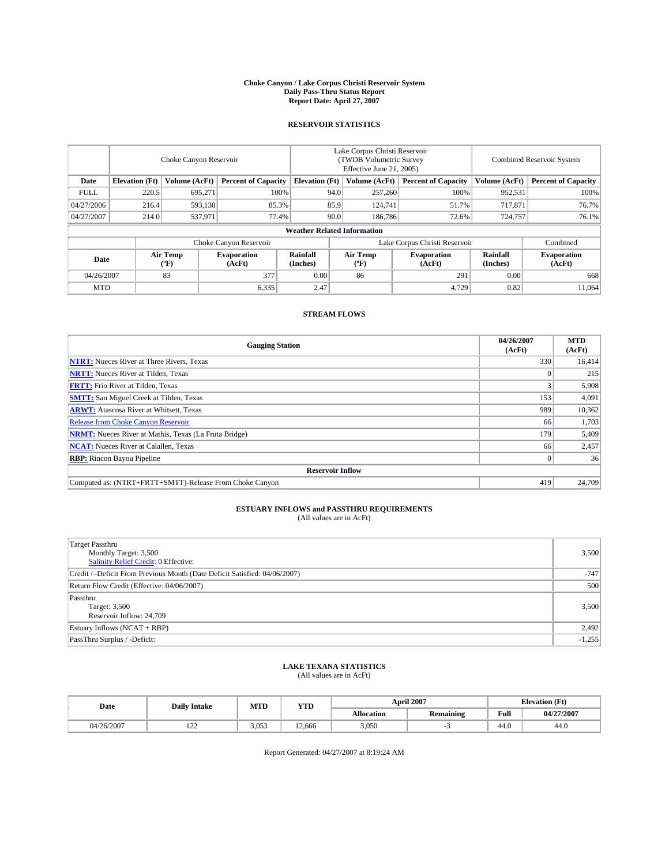### **Choke Canyon / Lake Corpus Christi Reservoir System Daily Pass-Thru Status Report Report Date: April 27, 2007**

### **RESERVOIR STATISTICS**

|             | Choke Canyon Reservoir |                         |                              |                                    | Lake Corpus Christi Reservoir<br>(TWDB Volumetric Survey<br>Effective June 21, 2005) |                  |                               |                      | <b>Combined Reservoir System</b> |  |  |
|-------------|------------------------|-------------------------|------------------------------|------------------------------------|--------------------------------------------------------------------------------------|------------------|-------------------------------|----------------------|----------------------------------|--|--|
| Date        | <b>Elevation</b> (Ft)  | Volume (AcFt)           | <b>Percent of Capacity</b>   | <b>Elevation</b> (Ft)              |                                                                                      | Volume (AcFt)    | <b>Percent of Capacity</b>    | Volume (AcFt)        | <b>Percent of Capacity</b>       |  |  |
| <b>FULL</b> | 220.5                  | 695,271                 |                              | 100%                               | 94.0                                                                                 | 257,260          | 100%                          | 952,531              | 100%                             |  |  |
| 04/27/2006  | 216.4                  | 593,130                 | 85.3%                        |                                    | 85.9                                                                                 | 124,741          | 51.7%                         | 717,871              | 76.7%                            |  |  |
| 04/27/2007  | 214.0                  | 537,971                 | 77.4%                        |                                    | 90.0                                                                                 | 186,786          | 72.6%                         | 724,757              | 76.1%                            |  |  |
|             |                        |                         |                              | <b>Weather Related Information</b> |                                                                                      |                  |                               |                      |                                  |  |  |
|             |                        |                         | Choke Canyon Reservoir       |                                    |                                                                                      |                  | Lake Corpus Christi Reservoir |                      | Combined                         |  |  |
| Date        |                        | <b>Air Temp</b><br>(°F) | <b>Evaporation</b><br>(AcFt) | Rainfall<br>(Inches)               |                                                                                      | Air Temp<br>(°F) | <b>Evaporation</b><br>(AcFt)  | Rainfall<br>(Inches) | <b>Evaporation</b><br>(AcFt)     |  |  |
| 04/26/2007  |                        | 83                      | 377                          | 0.00                               |                                                                                      | 86               | 291                           | 0.00                 | 668                              |  |  |
| <b>MTD</b>  |                        |                         | 6.335                        | 2.47                               |                                                                                      |                  | 4,729                         | 0.82                 | 11.064                           |  |  |

### **STREAM FLOWS**

| <b>Gauging Station</b>                                       | 04/26/2007<br>(AcFt) | <b>MTD</b><br>(AcFt) |
|--------------------------------------------------------------|----------------------|----------------------|
| <b>NTRT:</b> Nueces River at Three Rivers, Texas             | 330                  | 16,414               |
| <b>NRTT:</b> Nueces River at Tilden, Texas                   |                      | 215                  |
| <b>FRTT:</b> Frio River at Tilden, Texas                     |                      | 5,908                |
| <b>SMTT:</b> San Miguel Creek at Tilden, Texas               | 153                  | 4,091                |
| <b>ARWT:</b> Atascosa River at Whitsett, Texas               | 989                  | 10,362               |
| <b>Release from Choke Canyon Reservoir</b>                   | 66                   | 1,703                |
| <b>NRMT:</b> Nueces River at Mathis, Texas (La Fruta Bridge) | 179                  | 5,409                |
| <b>NCAT:</b> Nueces River at Calallen, Texas                 | 66                   | 2,457                |
| <b>RBP:</b> Rincon Bayou Pipeline                            |                      | 36                   |
| <b>Reservoir Inflow</b>                                      |                      |                      |
| Computed as: (NTRT+FRTT+SMTT)-Release From Choke Canyon      | 419                  | 24,709               |

# **ESTUARY INFLOWS and PASSTHRU REQUIREMENTS**<br>(All values are in AcFt)

| <b>Target Passthru</b><br>Monthly Target: 3,500<br>Salinity Relief Credit: 0 Effective: | 3,500    |
|-----------------------------------------------------------------------------------------|----------|
| Credit / -Deficit From Previous Month (Date Deficit Satisfied: 04/06/2007)              | $-747$   |
| Return Flow Credit (Effective: 04/06/2007)                                              | 500      |
| Passthru<br>Target: 3,500<br>Reservoir Inflow: 24,709                                   | 3,500    |
| Estuary Inflows (NCAT + RBP)                                                            | 2,492    |
| PassThru Surplus / -Deficit:                                                            | $-1,255$ |

## **LAKE TEXANA STATISTICS** (All values are in AcFt)

| Date       | <b>Daily Intake</b> | MTD   | <b>YTD</b> |                   | <b>April 2007</b> | <b>Elevation</b> (Ft) |            |
|------------|---------------------|-------|------------|-------------------|-------------------|-----------------------|------------|
|            |                     |       |            | <b>Allocation</b> | <b>Remaining</b>  | Full                  | 04/27/2007 |
| 04/26/2007 | $\sim$<br>$-1$      | 3.053 | 12.666     | 3.050             |                   | 44.0                  | 44.0       |

Report Generated: 04/27/2007 at 8:19:24 AM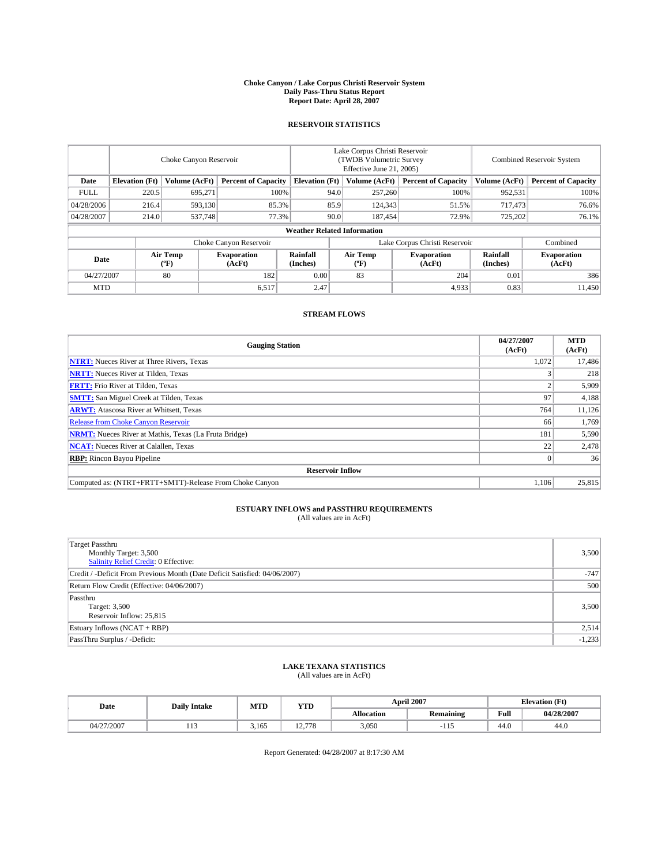### **Choke Canyon / Lake Corpus Christi Reservoir System Daily Pass-Thru Status Report Report Date: April 28, 2007**

### **RESERVOIR STATISTICS**

|             | Choke Canyon Reservoir             |                  |                              |                       | Lake Corpus Christi Reservoir<br>(TWDB Volumetric Survey<br>Effective June 21, 2005) |                  |                               | Combined Reservoir System |                              |  |
|-------------|------------------------------------|------------------|------------------------------|-----------------------|--------------------------------------------------------------------------------------|------------------|-------------------------------|---------------------------|------------------------------|--|
| Date        | <b>Elevation</b> (Ft)              | Volume (AcFt)    | <b>Percent of Capacity</b>   | <b>Elevation</b> (Ft) |                                                                                      | Volume (AcFt)    | <b>Percent of Capacity</b>    | Volume (AcFt)             | <b>Percent of Capacity</b>   |  |
| <b>FULL</b> | 220.5                              | 695,271          |                              | 100%                  | 94.0                                                                                 | 257,260          | 100%                          | 952,531                   | 100%                         |  |
| 04/28/2006  | 216.4                              | 593,130          | 85.3%                        |                       | 85.9                                                                                 | 124,343          | 51.5%                         | 717,473                   | 76.6%                        |  |
| 04/28/2007  | 214.0                              | 537,748          | 77.3%                        |                       | 90.0                                                                                 | 187,454          | 72.9%                         | 725,202                   | 76.1%                        |  |
|             | <b>Weather Related Information</b> |                  |                              |                       |                                                                                      |                  |                               |                           |                              |  |
|             |                                    |                  | Choke Canyon Reservoir       |                       |                                                                                      |                  | Lake Corpus Christi Reservoir |                           | Combined                     |  |
| Date        |                                    | Air Temp<br>(°F) | <b>Evaporation</b><br>(AcFt) | Rainfall<br>(Inches)  |                                                                                      | Air Temp<br>("F) | <b>Evaporation</b><br>(AcFt)  | Rainfall<br>(Inches)      | <b>Evaporation</b><br>(AcFt) |  |
| 04/27/2007  |                                    | 80               | 182                          | 0.00                  |                                                                                      | 83               | 204                           | 0.01                      | 386                          |  |
| <b>MTD</b>  |                                    |                  | 6,517                        | 2.47                  |                                                                                      |                  | 4,933                         | 0.83                      | 11,450                       |  |

### **STREAM FLOWS**

| <b>Gauging Station</b>                                       | 04/27/2007<br>(AcFt) | <b>MTD</b><br>(AcFt) |
|--------------------------------------------------------------|----------------------|----------------------|
| <b>NTRT:</b> Nueces River at Three Rivers, Texas             | 1,072                | 17,486               |
| <b>NRTT:</b> Nueces River at Tilden, Texas                   |                      | 218                  |
| <b>FRTT:</b> Frio River at Tilden, Texas                     |                      | 5,909                |
| <b>SMTT:</b> San Miguel Creek at Tilden, Texas               | 97                   | 4,188                |
| <b>ARWT:</b> Atascosa River at Whitsett, Texas               | 764                  | 11,126               |
| <b>Release from Choke Canyon Reservoir</b>                   | 66                   | 1,769                |
| <b>NRMT:</b> Nueces River at Mathis, Texas (La Fruta Bridge) | 181                  | 5,590                |
| <b>NCAT:</b> Nueces River at Calallen, Texas                 | 22                   | 2,478                |
| <b>RBP:</b> Rincon Bayou Pipeline                            |                      | 36                   |
| <b>Reservoir Inflow</b>                                      |                      |                      |
| Computed as: (NTRT+FRTT+SMTT)-Release From Choke Canyon      | 1.106                | 25,815               |

# **ESTUARY INFLOWS and PASSTHRU REQUIREMENTS**<br>(All values are in AcFt)

| Target Passthru<br>Monthly Target: 3,500<br>Salinity Relief Credit: 0 Effective: | 3,500    |
|----------------------------------------------------------------------------------|----------|
| Credit / -Deficit From Previous Month (Date Deficit Satisfied: 04/06/2007)       | $-747$   |
| Return Flow Credit (Effective: 04/06/2007)                                       | 500      |
| Passthru<br>Target: 3,500<br>Reservoir Inflow: 25,815                            | 3,500    |
| Estuary Inflows (NCAT + RBP)                                                     | 2,514    |
| PassThru Surplus / -Deficit:                                                     | $-1,233$ |

## **LAKE TEXANA STATISTICS** (All values are in AcFt)

| Date       | <b>Daily Intake</b> | MTD   | <b>YTD</b> |                   | <b>April 2007</b> |      | <b>Elevation</b> (Ft) |
|------------|---------------------|-------|------------|-------------------|-------------------|------|-----------------------|
|            |                     |       |            | <b>Allocation</b> | <b>Remaining</b>  | Full | 04/28/2007            |
| 04/27/2007 | .                   | 3,165 | 12.778     | 3,050             | ·11.              | 44.0 | 44.0                  |

Report Generated: 04/28/2007 at 8:17:30 AM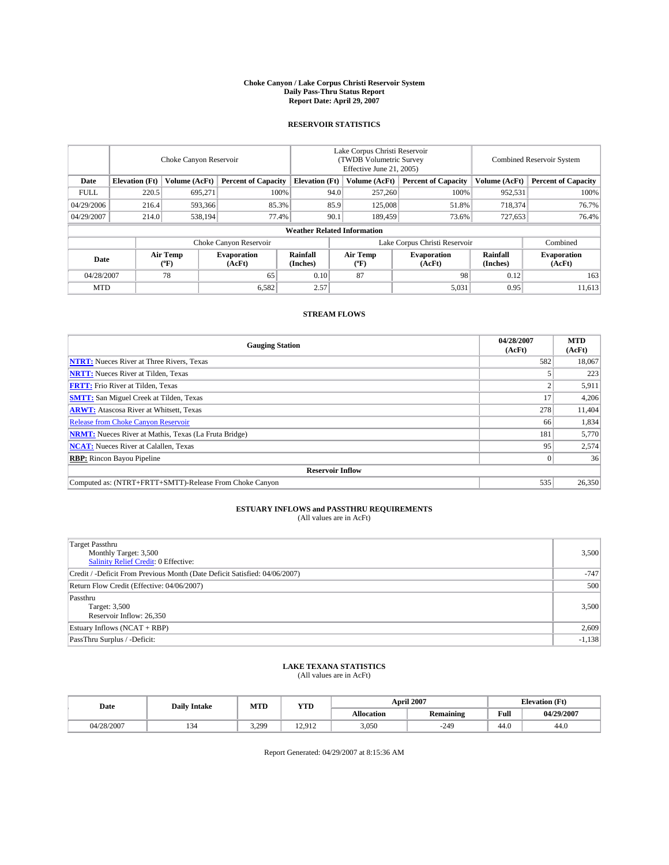### **Choke Canyon / Lake Corpus Christi Reservoir System Daily Pass-Thru Status Report Report Date: April 29, 2007**

### **RESERVOIR STATISTICS**

|                        | Choke Canyon Reservoir             |                  |                              |                       | Lake Corpus Christi Reservoir<br>(TWDB Volumetric Survey<br>Effective June 21, 2005) |                  |                              |                      | Combined Reservoir System    |  |
|------------------------|------------------------------------|------------------|------------------------------|-----------------------|--------------------------------------------------------------------------------------|------------------|------------------------------|----------------------|------------------------------|--|
| Date                   | <b>Elevation</b> (Ft)              | Volume (AcFt)    | <b>Percent of Capacity</b>   | <b>Elevation</b> (Ft) |                                                                                      | Volume (AcFt)    | <b>Percent of Capacity</b>   | Volume (AcFt)        | <b>Percent of Capacity</b>   |  |
| <b>FULL</b>            | 220.5                              | 695.271          |                              | 100%                  | 94.0                                                                                 | 257,260          | 100%                         | 952,531              | 100%                         |  |
| 04/29/2006             | 216.4                              | 593,366          | 85.3%                        |                       | 85.9                                                                                 | 125,008          | 51.8%                        | 718,374              | 76.7%                        |  |
| 04/29/2007             | 214.0                              | 538.194          | 77.4%                        |                       | 90.1                                                                                 | 189,459          | 73.6%                        | 727,653              | 76.4%                        |  |
|                        | <b>Weather Related Information</b> |                  |                              |                       |                                                                                      |                  |                              |                      |                              |  |
| Choke Canyon Reservoir |                                    |                  |                              |                       | Lake Corpus Christi Reservoir                                                        |                  |                              |                      | Combined                     |  |
| Date                   |                                    | Air Temp<br>(°F) | <b>Evaporation</b><br>(AcFt) | Rainfall<br>(Inches)  |                                                                                      | Air Temp<br>("F) | <b>Evaporation</b><br>(AcFt) | Rainfall<br>(Inches) | <b>Evaporation</b><br>(AcFt) |  |
| 04/28/2007             |                                    | 78               | 65                           | 0.10                  |                                                                                      | 87               | 98                           | 0.12                 | 163                          |  |
| <b>MTD</b>             |                                    |                  | 6,582                        | 2.57                  |                                                                                      |                  | 5,031                        | 0.95                 | 11,613                       |  |

### **STREAM FLOWS**

| <b>Gauging Station</b>                                       | 04/28/2007<br>(AcFt) | <b>MTD</b><br>(AcFt) |  |  |  |  |
|--------------------------------------------------------------|----------------------|----------------------|--|--|--|--|
| <b>NTRT:</b> Nueces River at Three Rivers, Texas             | 582                  | 18.067               |  |  |  |  |
| <b>NRTT:</b> Nueces River at Tilden, Texas                   |                      | 223                  |  |  |  |  |
| <b>FRTT:</b> Frio River at Tilden, Texas                     |                      | 5,911                |  |  |  |  |
| <b>SMTT:</b> San Miguel Creek at Tilden, Texas               | 17                   | 4,206                |  |  |  |  |
| <b>ARWT:</b> Atascosa River at Whitsett, Texas               | 278                  | 11,404               |  |  |  |  |
| <b>Release from Choke Canyon Reservoir</b>                   | 66                   | 1,834                |  |  |  |  |
| <b>NRMT:</b> Nueces River at Mathis, Texas (La Fruta Bridge) | 181                  | 5,770                |  |  |  |  |
| <b>NCAT:</b> Nueces River at Calallen, Texas                 | 95                   | 2,574                |  |  |  |  |
| <b>RBP:</b> Rincon Bayou Pipeline                            |                      | 36                   |  |  |  |  |
| <b>Reservoir Inflow</b>                                      |                      |                      |  |  |  |  |
| Computed as: (NTRT+FRTT+SMTT)-Release From Choke Canyon      | 535                  | 26,350               |  |  |  |  |

# **ESTUARY INFLOWS and PASSTHRU REQUIREMENTS**<br>(All values are in AcFt)

| <b>Target Passthru</b><br>Monthly Target: 3,500<br>Salinity Relief Credit: 0 Effective: | 3,500    |
|-----------------------------------------------------------------------------------------|----------|
| Credit / -Deficit From Previous Month (Date Deficit Satisfied: 04/06/2007)              | $-747$   |
| Return Flow Credit (Effective: 04/06/2007)                                              | 500      |
| Passthru<br>Target: 3,500<br>Reservoir Inflow: 26,350                                   | 3,500    |
| Estuary Inflows (NCAT + RBP)                                                            | 2,609    |
| PassThru Surplus / -Deficit:                                                            | $-1,138$ |

## **LAKE TEXANA STATISTICS** (All values are in AcFt)

| Date       | <b>Daily Intake</b> | MTD   | <b>YTD</b> |                   | <b>April 2007</b> | <b>Elevation</b> (Ft) |            |
|------------|---------------------|-------|------------|-------------------|-------------------|-----------------------|------------|
|            |                     |       |            | <b>Allocation</b> | <b>Remaining</b>  | Full                  | 04/29/2007 |
| 04/28/2007 | 134                 | 3,299 | 12.912     | 3,050             | $-249$            | 44.0                  | 44.0       |

Report Generated: 04/29/2007 at 8:15:36 AM